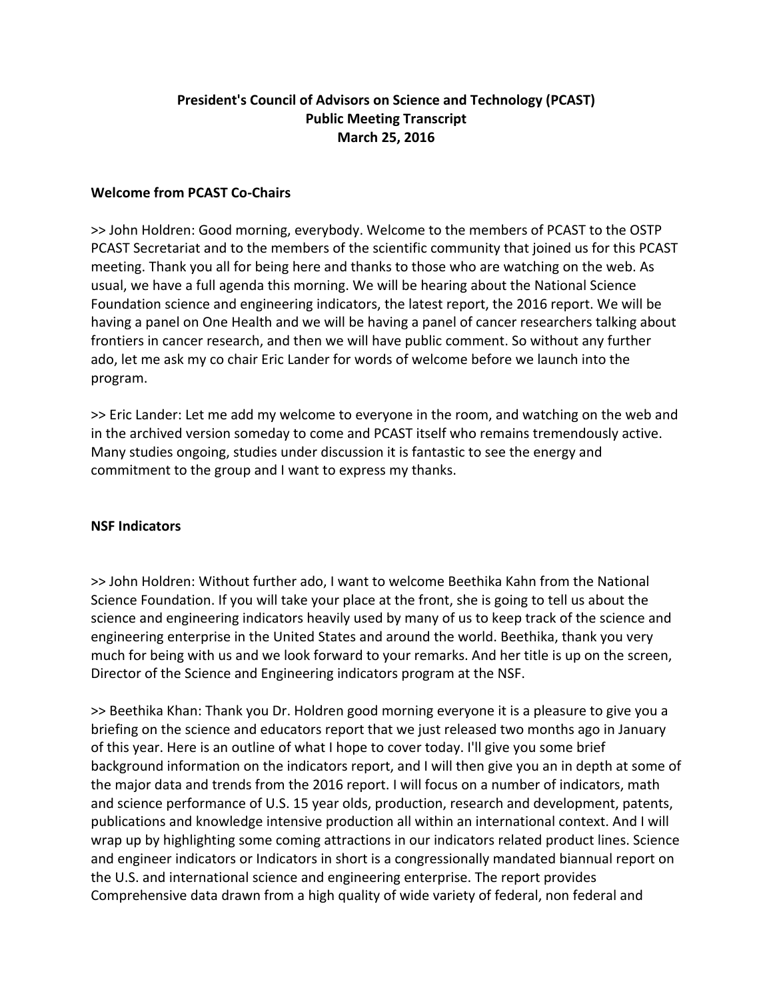# **President's Council of Advisors on Science and Technology (PCAST) Public Meeting Transcript March 25, 2016**

### **Welcome from PCAST Co‐Chairs**

>> John Holdren: Good morning, everybody. Welcome to the members of PCAST to the OSTP PCAST Secretariat and to the members of the scientific community that joined us for this PCAST meeting. Thank you all for being here and thanks to those who are watching on the web. As usual, we have a full agenda this morning. We will be hearing about the National Science Foundation science and engineering indicators, the latest report, the 2016 report. We will be having a panel on One Health and we will be having a panel of cancer researchers talking about frontiers in cancer research, and then we will have public comment. So without any further ado, let me ask my co chair Eric Lander for words of welcome before we launch into the program.

>> Eric Lander: Let me add my welcome to everyone in the room, and watching on the web and in the archived version someday to come and PCAST itself who remains tremendously active. Many studies ongoing, studies under discussion it is fantastic to see the energy and commitment to the group and I want to express my thanks.

#### **NSF Indicators**

>> John Holdren: Without further ado, I want to welcome Beethika Kahn from the National Science Foundation. If you will take your place at the front, she is going to tell us about the science and engineering indicators heavily used by many of us to keep track of the science and engineering enterprise in the United States and around the world. Beethika, thank you very much for being with us and we look forward to your remarks. And her title is up on the screen, Director of the Science and Engineering indicators program at the NSF.

>> Beethika Khan: Thank you Dr. Holdren good morning everyone it is a pleasure to give you a briefing on the science and educators report that we just released two months ago in January of this year. Here is an outline of what I hope to cover today. I'll give you some brief background information on the indicators report, and I will then give you an in depth at some of the major data and trends from the 2016 report. I will focus on a number of indicators, math and science performance of U.S. 15 year olds, production, research and development, patents, publications and knowledge intensive production all within an international context. And I will wrap up by highlighting some coming attractions in our indicators related product lines. Science and engineer indicators or Indicators in short is a congressionally mandated biannual report on the U.S. and international science and engineering enterprise. The report provides Comprehensive data drawn from a high quality of wide variety of federal, non federal and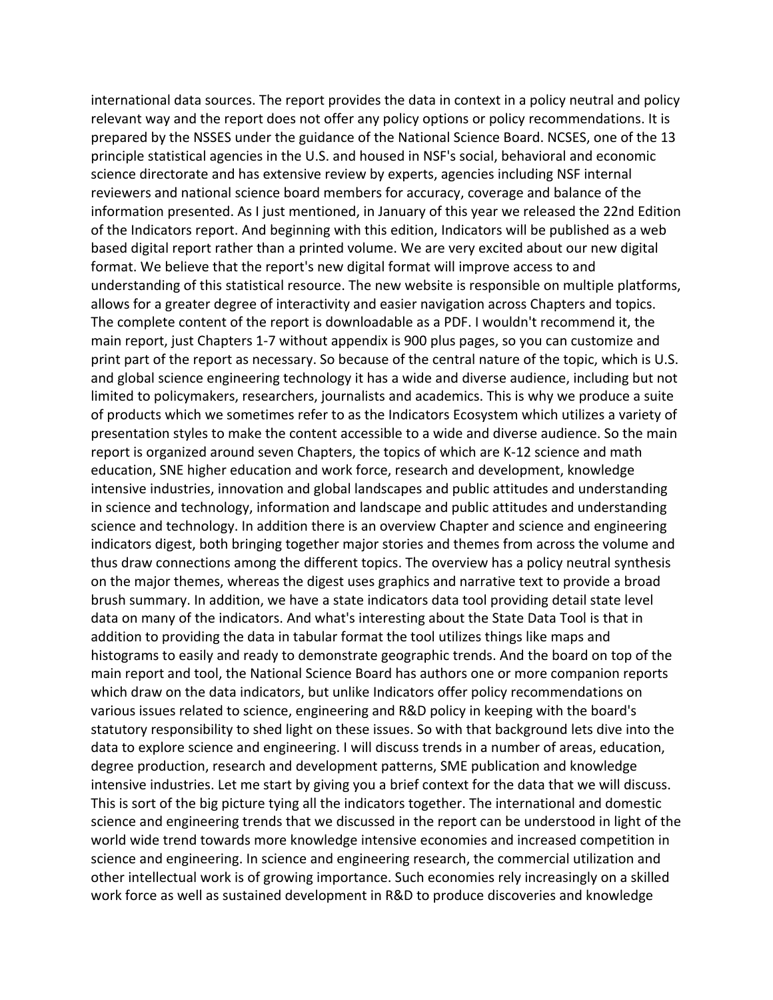international data sources. The report provides the data in context in a policy neutral and policy relevant way and the report does not offer any policy options or policy recommendations. It is prepared by the NSSES under the guidance of the National Science Board. NCSES, one of the 13 principle statistical agencies in the U.S. and housed in NSF's social, behavioral and economic science directorate and has extensive review by experts, agencies including NSF internal reviewers and national science board members for accuracy, coverage and balance of the information presented. As I just mentioned, in January of this year we released the 22nd Edition of the Indicators report. And beginning with this edition, Indicators will be published as a web based digital report rather than a printed volume. We are very excited about our new digital format. We believe that the report's new digital format will improve access to and understanding of this statistical resource. The new website is responsible on multiple platforms, allows for a greater degree of interactivity and easier navigation across Chapters and topics. The complete content of the report is downloadable as a PDF. I wouldn't recommend it, the main report, just Chapters 1‐7 without appendix is 900 plus pages, so you can customize and print part of the report as necessary. So because of the central nature of the topic, which is U.S. and global science engineering technology it has a wide and diverse audience, including but not limited to policymakers, researchers, journalists and academics. This is why we produce a suite of products which we sometimes refer to as the Indicators Ecosystem which utilizes a variety of presentation styles to make the content accessible to a wide and diverse audience. So the main report is organized around seven Chapters, the topics of which are K‐12 science and math education, SNE higher education and work force, research and development, knowledge intensive industries, innovation and global landscapes and public attitudes and understanding in science and technology, information and landscape and public attitudes and understanding science and technology. In addition there is an overview Chapter and science and engineering indicators digest, both bringing together major stories and themes from across the volume and thus draw connections among the different topics. The overview has a policy neutral synthesis on the major themes, whereas the digest uses graphics and narrative text to provide a broad brush summary. In addition, we have a state indicators data tool providing detail state level data on many of the indicators. And what's interesting about the State Data Tool is that in addition to providing the data in tabular format the tool utilizes things like maps and histograms to easily and ready to demonstrate geographic trends. And the board on top of the main report and tool, the National Science Board has authors one or more companion reports which draw on the data indicators, but unlike Indicators offer policy recommendations on various issues related to science, engineering and R&D policy in keeping with the board's statutory responsibility to shed light on these issues. So with that background lets dive into the data to explore science and engineering. I will discuss trends in a number of areas, education, degree production, research and development patterns, SME publication and knowledge intensive industries. Let me start by giving you a brief context for the data that we will discuss. This is sort of the big picture tying all the indicators together. The international and domestic science and engineering trends that we discussed in the report can be understood in light of the world wide trend towards more knowledge intensive economies and increased competition in science and engineering. In science and engineering research, the commercial utilization and other intellectual work is of growing importance. Such economies rely increasingly on a skilled work force as well as sustained development in R&D to produce discoveries and knowledge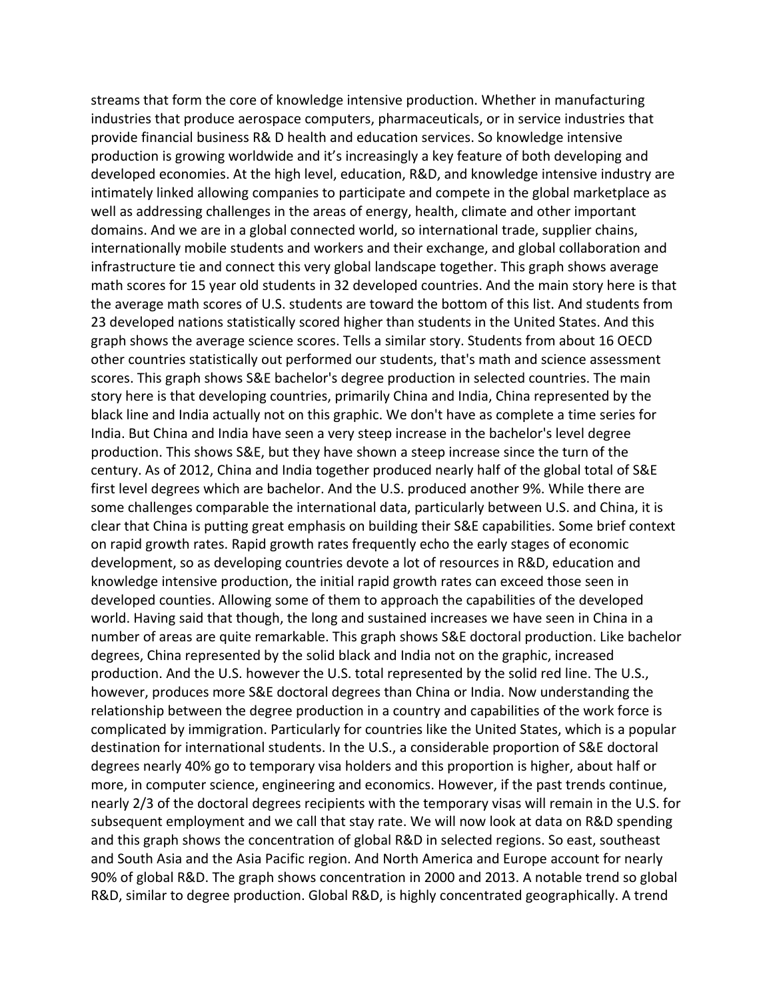streams that form the core of knowledge intensive production. Whether in manufacturing industries that produce aerospace computers, pharmaceuticals, or in service industries that provide financial business R& D health and education services. So knowledge intensive production is growing worldwide and it's increasingly a key feature of both developing and developed economies. At the high level, education, R&D, and knowledge intensive industry are intimately linked allowing companies to participate and compete in the global marketplace as well as addressing challenges in the areas of energy, health, climate and other important domains. And we are in a global connected world, so international trade, supplier chains, internationally mobile students and workers and their exchange, and global collaboration and infrastructure tie and connect this very global landscape together. This graph shows average math scores for 15 year old students in 32 developed countries. And the main story here is that the average math scores of U.S. students are toward the bottom of this list. And students from 23 developed nations statistically scored higher than students in the United States. And this graph shows the average science scores. Tells a similar story. Students from about 16 OECD other countries statistically out performed our students, that's math and science assessment scores. This graph shows S&E bachelor's degree production in selected countries. The main story here is that developing countries, primarily China and India, China represented by the black line and India actually not on this graphic. We don't have as complete a time series for India. But China and India have seen a very steep increase in the bachelor's level degree production. This shows S&E, but they have shown a steep increase since the turn of the century. As of 2012, China and India together produced nearly half of the global total of S&E first level degrees which are bachelor. And the U.S. produced another 9%. While there are some challenges comparable the international data, particularly between U.S. and China, it is clear that China is putting great emphasis on building their S&E capabilities. Some brief context on rapid growth rates. Rapid growth rates frequently echo the early stages of economic development, so as developing countries devote a lot of resources in R&D, education and knowledge intensive production, the initial rapid growth rates can exceed those seen in developed counties. Allowing some of them to approach the capabilities of the developed world. Having said that though, the long and sustained increases we have seen in China in a number of areas are quite remarkable. This graph shows S&E doctoral production. Like bachelor degrees, China represented by the solid black and India not on the graphic, increased production. And the U.S. however the U.S. total represented by the solid red line. The U.S., however, produces more S&E doctoral degrees than China or India. Now understanding the relationship between the degree production in a country and capabilities of the work force is complicated by immigration. Particularly for countries like the United States, which is a popular destination for international students. In the U.S., a considerable proportion of S&E doctoral degrees nearly 40% go to temporary visa holders and this proportion is higher, about half or more, in computer science, engineering and economics. However, if the past trends continue, nearly 2/3 of the doctoral degrees recipients with the temporary visas will remain in the U.S. for subsequent employment and we call that stay rate. We will now look at data on R&D spending and this graph shows the concentration of global R&D in selected regions. So east, southeast and South Asia and the Asia Pacific region. And North America and Europe account for nearly 90% of global R&D. The graph shows concentration in 2000 and 2013. A notable trend so global R&D, similar to degree production. Global R&D, is highly concentrated geographically. A trend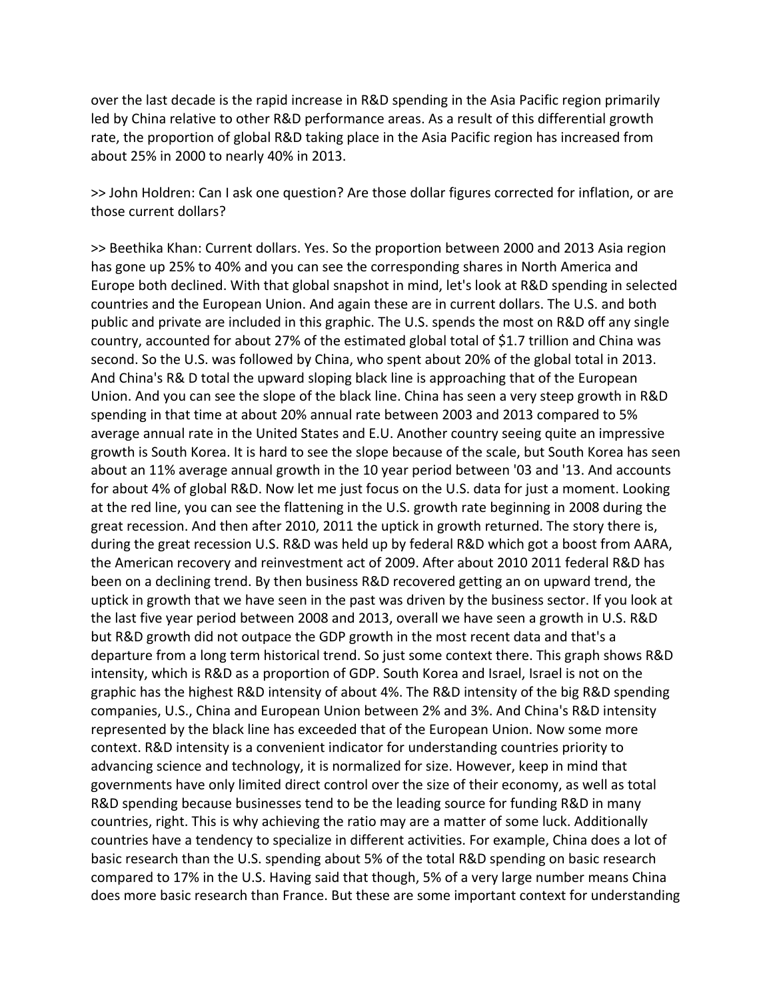over the last decade is the rapid increase in R&D spending in the Asia Pacific region primarily led by China relative to other R&D performance areas. As a result of this differential growth rate, the proportion of global R&D taking place in the Asia Pacific region has increased from about 25% in 2000 to nearly 40% in 2013.

>> John Holdren: Can I ask one question? Are those dollar figures corrected for inflation, or are those current dollars?

>> Beethika Khan: Current dollars. Yes. So the proportion between 2000 and 2013 Asia region has gone up 25% to 40% and you can see the corresponding shares in North America and Europe both declined. With that global snapshot in mind, let's look at R&D spending in selected countries and the European Union. And again these are in current dollars. The U.S. and both public and private are included in this graphic. The U.S. spends the most on R&D off any single country, accounted for about 27% of the estimated global total of \$1.7 trillion and China was second. So the U.S. was followed by China, who spent about 20% of the global total in 2013. And China's R& D total the upward sloping black line is approaching that of the European Union. And you can see the slope of the black line. China has seen a very steep growth in R&D spending in that time at about 20% annual rate between 2003 and 2013 compared to 5% average annual rate in the United States and E.U. Another country seeing quite an impressive growth is South Korea. It is hard to see the slope because of the scale, but South Korea has seen about an 11% average annual growth in the 10 year period between '03 and '13. And accounts for about 4% of global R&D. Now let me just focus on the U.S. data for just a moment. Looking at the red line, you can see the flattening in the U.S. growth rate beginning in 2008 during the great recession. And then after 2010, 2011 the uptick in growth returned. The story there is, during the great recession U.S. R&D was held up by federal R&D which got a boost from AARA, the American recovery and reinvestment act of 2009. After about 2010 2011 federal R&D has been on a declining trend. By then business R&D recovered getting an on upward trend, the uptick in growth that we have seen in the past was driven by the business sector. If you look at the last five year period between 2008 and 2013, overall we have seen a growth in U.S. R&D but R&D growth did not outpace the GDP growth in the most recent data and that's a departure from a long term historical trend. So just some context there. This graph shows R&D intensity, which is R&D as a proportion of GDP. South Korea and Israel, Israel is not on the graphic has the highest R&D intensity of about 4%. The R&D intensity of the big R&D spending companies, U.S., China and European Union between 2% and 3%. And China's R&D intensity represented by the black line has exceeded that of the European Union. Now some more context. R&D intensity is a convenient indicator for understanding countries priority to advancing science and technology, it is normalized for size. However, keep in mind that governments have only limited direct control over the size of their economy, as well as total R&D spending because businesses tend to be the leading source for funding R&D in many countries, right. This is why achieving the ratio may are a matter of some luck. Additionally countries have a tendency to specialize in different activities. For example, China does a lot of basic research than the U.S. spending about 5% of the total R&D spending on basic research compared to 17% in the U.S. Having said that though, 5% of a very large number means China does more basic research than France. But these are some important context for understanding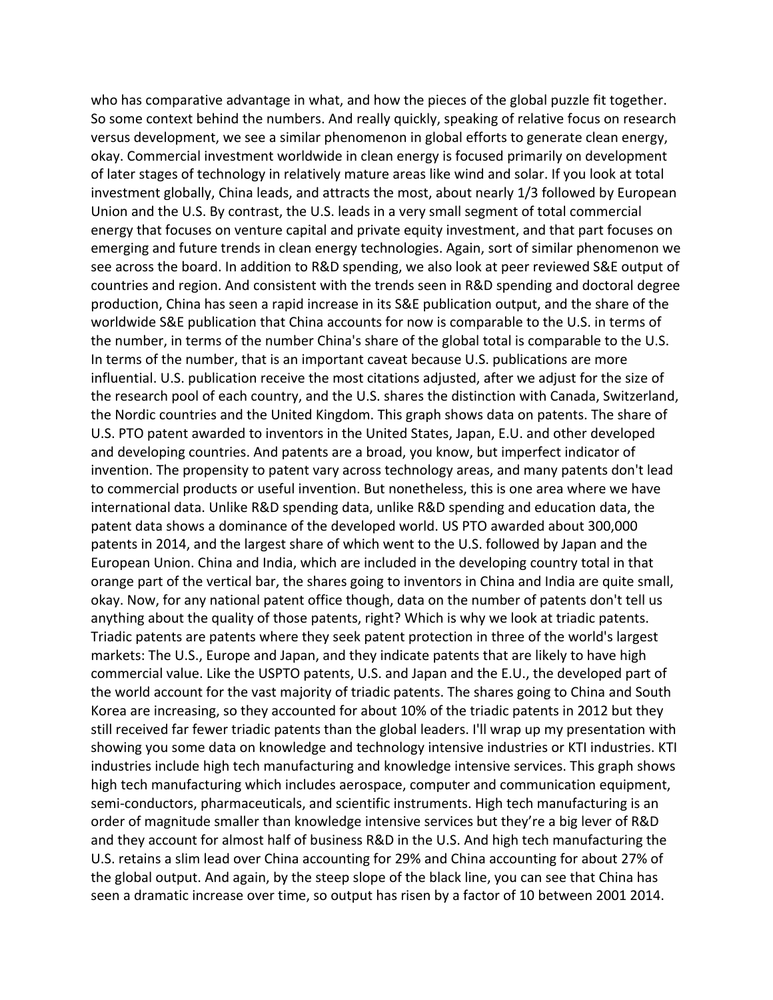who has comparative advantage in what, and how the pieces of the global puzzle fit together. So some context behind the numbers. And really quickly, speaking of relative focus on research versus development, we see a similar phenomenon in global efforts to generate clean energy, okay. Commercial investment worldwide in clean energy is focused primarily on development of later stages of technology in relatively mature areas like wind and solar. If you look at total investment globally, China leads, and attracts the most, about nearly 1/3 followed by European Union and the U.S. By contrast, the U.S. leads in a very small segment of total commercial energy that focuses on venture capital and private equity investment, and that part focuses on emerging and future trends in clean energy technologies. Again, sort of similar phenomenon we see across the board. In addition to R&D spending, we also look at peer reviewed S&E output of countries and region. And consistent with the trends seen in R&D spending and doctoral degree production, China has seen a rapid increase in its S&E publication output, and the share of the worldwide S&E publication that China accounts for now is comparable to the U.S. in terms of the number, in terms of the number China's share of the global total is comparable to the U.S. In terms of the number, that is an important caveat because U.S. publications are more influential. U.S. publication receive the most citations adjusted, after we adjust for the size of the research pool of each country, and the U.S. shares the distinction with Canada, Switzerland, the Nordic countries and the United Kingdom. This graph shows data on patents. The share of U.S. PTO patent awarded to inventors in the United States, Japan, E.U. and other developed and developing countries. And patents are a broad, you know, but imperfect indicator of invention. The propensity to patent vary across technology areas, and many patents don't lead to commercial products or useful invention. But nonetheless, this is one area where we have international data. Unlike R&D spending data, unlike R&D spending and education data, the patent data shows a dominance of the developed world. US PTO awarded about 300,000 patents in 2014, and the largest share of which went to the U.S. followed by Japan and the European Union. China and India, which are included in the developing country total in that orange part of the vertical bar, the shares going to inventors in China and India are quite small, okay. Now, for any national patent office though, data on the number of patents don't tell us anything about the quality of those patents, right? Which is why we look at triadic patents. Triadic patents are patents where they seek patent protection in three of the world's largest markets: The U.S., Europe and Japan, and they indicate patents that are likely to have high commercial value. Like the USPTO patents, U.S. and Japan and the E.U., the developed part of the world account for the vast majority of triadic patents. The shares going to China and South Korea are increasing, so they accounted for about 10% of the triadic patents in 2012 but they still received far fewer triadic patents than the global leaders. I'll wrap up my presentation with showing you some data on knowledge and technology intensive industries or KTI industries. KTI industries include high tech manufacturing and knowledge intensive services. This graph shows high tech manufacturing which includes aerospace, computer and communication equipment, semi-conductors, pharmaceuticals, and scientific instruments. High tech manufacturing is an order of magnitude smaller than knowledge intensive services but they're a big lever of R&D and they account for almost half of business R&D in the U.S. And high tech manufacturing the U.S. retains a slim lead over China accounting for 29% and China accounting for about 27% of the global output. And again, by the steep slope of the black line, you can see that China has seen a dramatic increase over time, so output has risen by a factor of 10 between 2001 2014.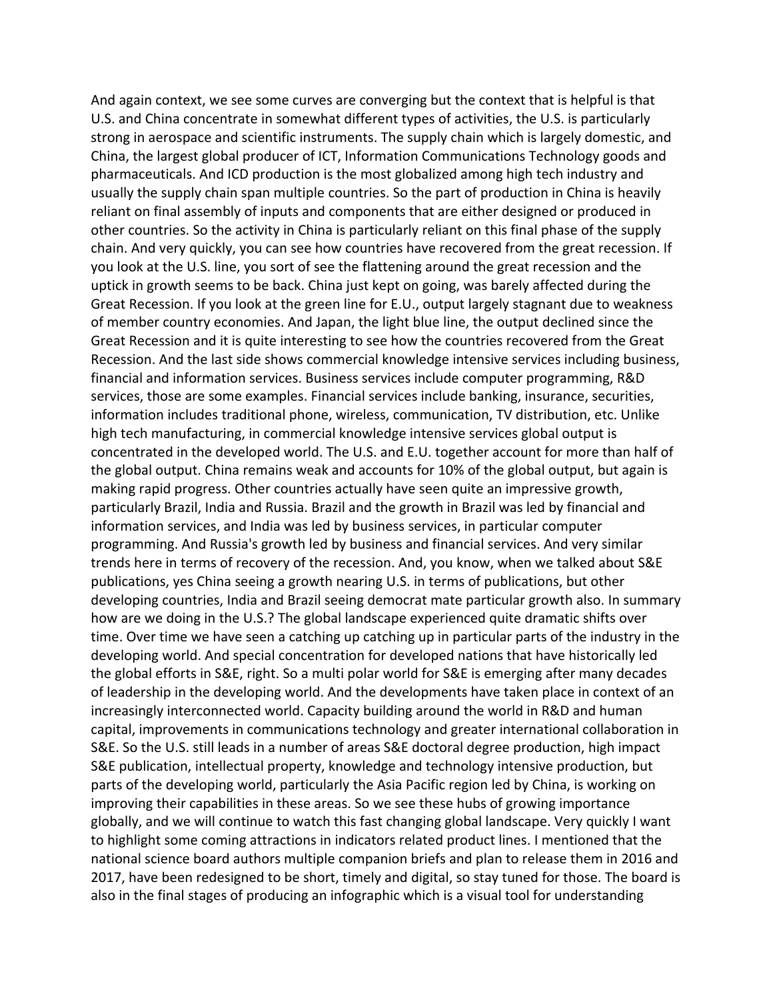And again context, we see some curves are converging but the context that is helpful is that U.S. and China concentrate in somewhat different types of activities, the U.S. is particularly strong in aerospace and scientific instruments. The supply chain which is largely domestic, and China, the largest global producer of ICT, Information Communications Technology goods and pharmaceuticals. And ICD production is the most globalized among high tech industry and usually the supply chain span multiple countries. So the part of production in China is heavily reliant on final assembly of inputs and components that are either designed or produced in other countries. So the activity in China is particularly reliant on this final phase of the supply chain. And very quickly, you can see how countries have recovered from the great recession. If you look at the U.S. line, you sort of see the flattening around the great recession and the uptick in growth seems to be back. China just kept on going, was barely affected during the Great Recession. If you look at the green line for E.U., output largely stagnant due to weakness of member country economies. And Japan, the light blue line, the output declined since the Great Recession and it is quite interesting to see how the countries recovered from the Great Recession. And the last side shows commercial knowledge intensive services including business, financial and information services. Business services include computer programming, R&D services, those are some examples. Financial services include banking, insurance, securities, information includes traditional phone, wireless, communication, TV distribution, etc. Unlike high tech manufacturing, in commercial knowledge intensive services global output is concentrated in the developed world. The U.S. and E.U. together account for more than half of the global output. China remains weak and accounts for 10% of the global output, but again is making rapid progress. Other countries actually have seen quite an impressive growth, particularly Brazil, India and Russia. Brazil and the growth in Brazil was led by financial and information services, and India was led by business services, in particular computer programming. And Russia's growth led by business and financial services. And very similar trends here in terms of recovery of the recession. And, you know, when we talked about S&E publications, yes China seeing a growth nearing U.S. in terms of publications, but other developing countries, India and Brazil seeing democrat mate particular growth also. In summary how are we doing in the U.S.? The global landscape experienced quite dramatic shifts over time. Over time we have seen a catching up catching up in particular parts of the industry in the developing world. And special concentration for developed nations that have historically led the global efforts in S&E, right. So a multi polar world for S&E is emerging after many decades of leadership in the developing world. And the developments have taken place in context of an increasingly interconnected world. Capacity building around the world in R&D and human capital, improvements in communications technology and greater international collaboration in S&E. So the U.S. still leads in a number of areas S&E doctoral degree production, high impact S&E publication, intellectual property, knowledge and technology intensive production, but parts of the developing world, particularly the Asia Pacific region led by China, is working on improving their capabilities in these areas. So we see these hubs of growing importance globally, and we will continue to watch this fast changing global landscape. Very quickly I want to highlight some coming attractions in indicators related product lines. I mentioned that the national science board authors multiple companion briefs and plan to release them in 2016 and 2017, have been redesigned to be short, timely and digital, so stay tuned for those. The board is also in the final stages of producing an infographic which is a visual tool for understanding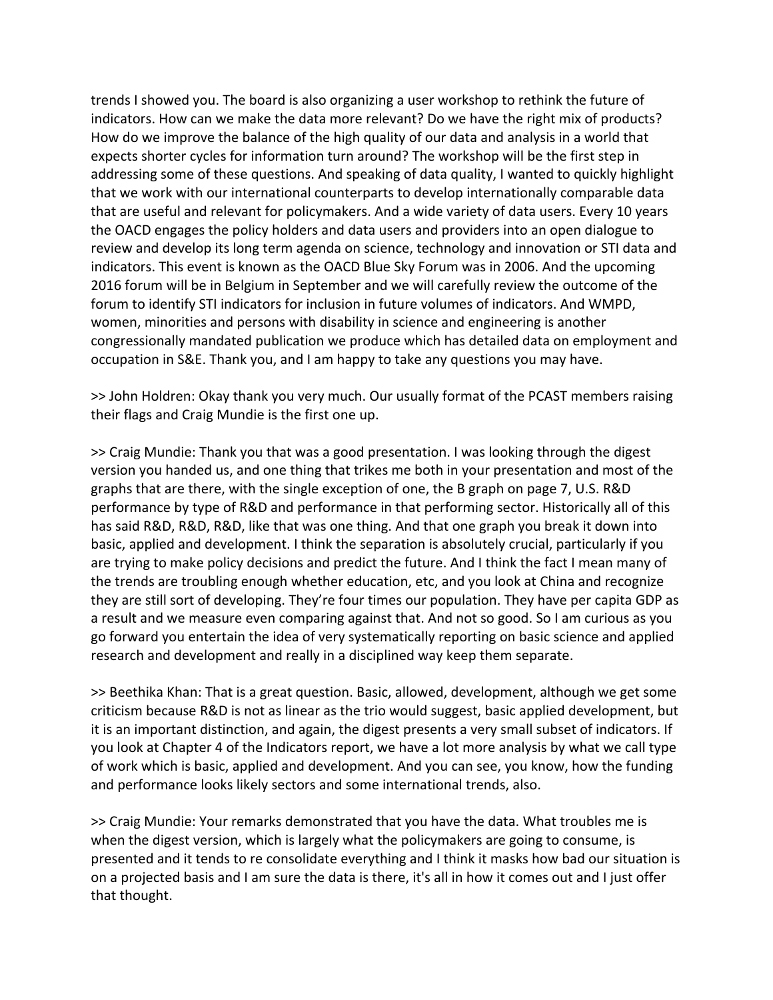trends I showed you. The board is also organizing a user workshop to rethink the future of indicators. How can we make the data more relevant? Do we have the right mix of products? How do we improve the balance of the high quality of our data and analysis in a world that expects shorter cycles for information turn around? The workshop will be the first step in addressing some of these questions. And speaking of data quality, I wanted to quickly highlight that we work with our international counterparts to develop internationally comparable data that are useful and relevant for policymakers. And a wide variety of data users. Every 10 years the OACD engages the policy holders and data users and providers into an open dialogue to review and develop its long term agenda on science, technology and innovation or STI data and indicators. This event is known as the OACD Blue Sky Forum was in 2006. And the upcoming 2016 forum will be in Belgium in September and we will carefully review the outcome of the forum to identify STI indicators for inclusion in future volumes of indicators. And WMPD, women, minorities and persons with disability in science and engineering is another congressionally mandated publication we produce which has detailed data on employment and occupation in S&E. Thank you, and I am happy to take any questions you may have.

>> John Holdren: Okay thank you very much. Our usually format of the PCAST members raising their flags and Craig Mundie is the first one up.

>> Craig Mundie: Thank you that was a good presentation. I was looking through the digest version you handed us, and one thing that trikes me both in your presentation and most of the graphs that are there, with the single exception of one, the B graph on page 7, U.S. R&D performance by type of R&D and performance in that performing sector. Historically all of this has said R&D, R&D, R&D, like that was one thing. And that one graph you break it down into basic, applied and development. I think the separation is absolutely crucial, particularly if you are trying to make policy decisions and predict the future. And I think the fact I mean many of the trends are troubling enough whether education, etc, and you look at China and recognize they are still sort of developing. They're four times our population. They have per capita GDP as a result and we measure even comparing against that. And not so good. So I am curious as you go forward you entertain the idea of very systematically reporting on basic science and applied research and development and really in a disciplined way keep them separate.

>> Beethika Khan: That is a great question. Basic, allowed, development, although we get some criticism because R&D is not as linear as the trio would suggest, basic applied development, but it is an important distinction, and again, the digest presents a very small subset of indicators. If you look at Chapter 4 of the Indicators report, we have a lot more analysis by what we call type of work which is basic, applied and development. And you can see, you know, how the funding and performance looks likely sectors and some international trends, also.

>> Craig Mundie: Your remarks demonstrated that you have the data. What troubles me is when the digest version, which is largely what the policymakers are going to consume, is presented and it tends to re consolidate everything and I think it masks how bad our situation is on a projected basis and I am sure the data is there, it's all in how it comes out and I just offer that thought.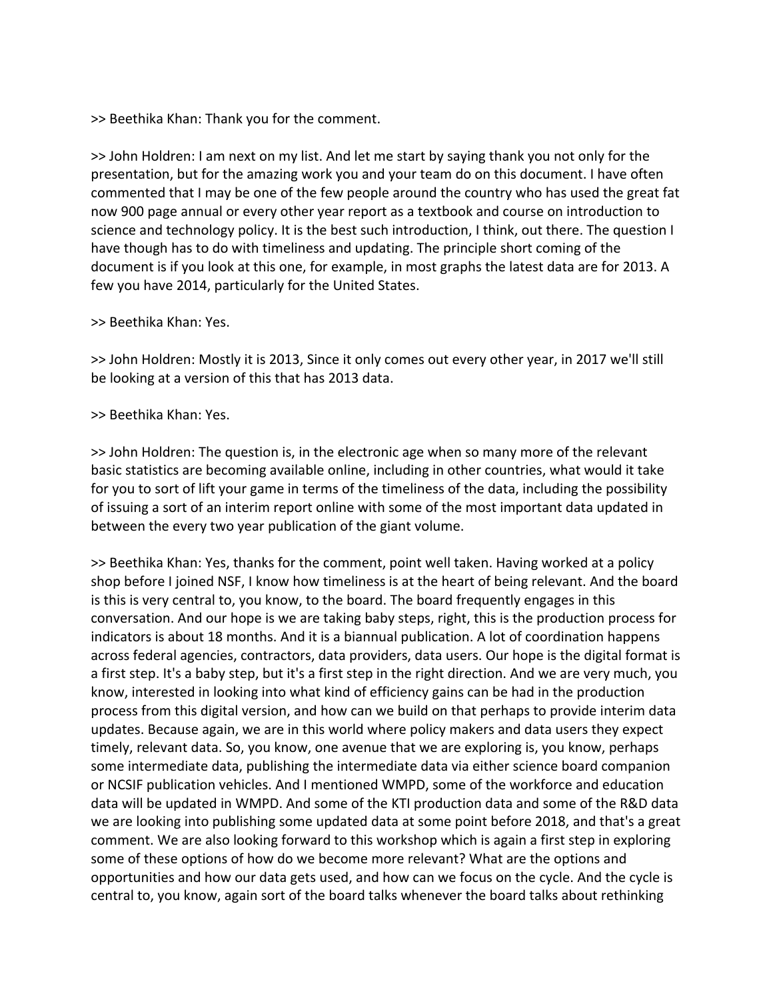>> Beethika Khan: Thank you for the comment.

>> John Holdren: I am next on my list. And let me start by saying thank you not only for the presentation, but for the amazing work you and your team do on this document. I have often commented that I may be one of the few people around the country who has used the great fat now 900 page annual or every other year report as a textbook and course on introduction to science and technology policy. It is the best such introduction, I think, out there. The question I have though has to do with timeliness and updating. The principle short coming of the document is if you look at this one, for example, in most graphs the latest data are for 2013. A few you have 2014, particularly for the United States.

### >> Beethika Khan: Yes.

>> John Holdren: Mostly it is 2013, Since it only comes out every other year, in 2017 we'll still be looking at a version of this that has 2013 data.

### >> Beethika Khan: Yes.

>> John Holdren: The question is, in the electronic age when so many more of the relevant basic statistics are becoming available online, including in other countries, what would it take for you to sort of lift your game in terms of the timeliness of the data, including the possibility of issuing a sort of an interim report online with some of the most important data updated in between the every two year publication of the giant volume.

>> Beethika Khan: Yes, thanks for the comment, point well taken. Having worked at a policy shop before I joined NSF, I know how timeliness is at the heart of being relevant. And the board is this is very central to, you know, to the board. The board frequently engages in this conversation. And our hope is we are taking baby steps, right, this is the production process for indicators is about 18 months. And it is a biannual publication. A lot of coordination happens across federal agencies, contractors, data providers, data users. Our hope is the digital format is a first step. It's a baby step, but it's a first step in the right direction. And we are very much, you know, interested in looking into what kind of efficiency gains can be had in the production process from this digital version, and how can we build on that perhaps to provide interim data updates. Because again, we are in this world where policy makers and data users they expect timely, relevant data. So, you know, one avenue that we are exploring is, you know, perhaps some intermediate data, publishing the intermediate data via either science board companion or NCSIF publication vehicles. And I mentioned WMPD, some of the workforce and education data will be updated in WMPD. And some of the KTI production data and some of the R&D data we are looking into publishing some updated data at some point before 2018, and that's a great comment. We are also looking forward to this workshop which is again a first step in exploring some of these options of how do we become more relevant? What are the options and opportunities and how our data gets used, and how can we focus on the cycle. And the cycle is central to, you know, again sort of the board talks whenever the board talks about rethinking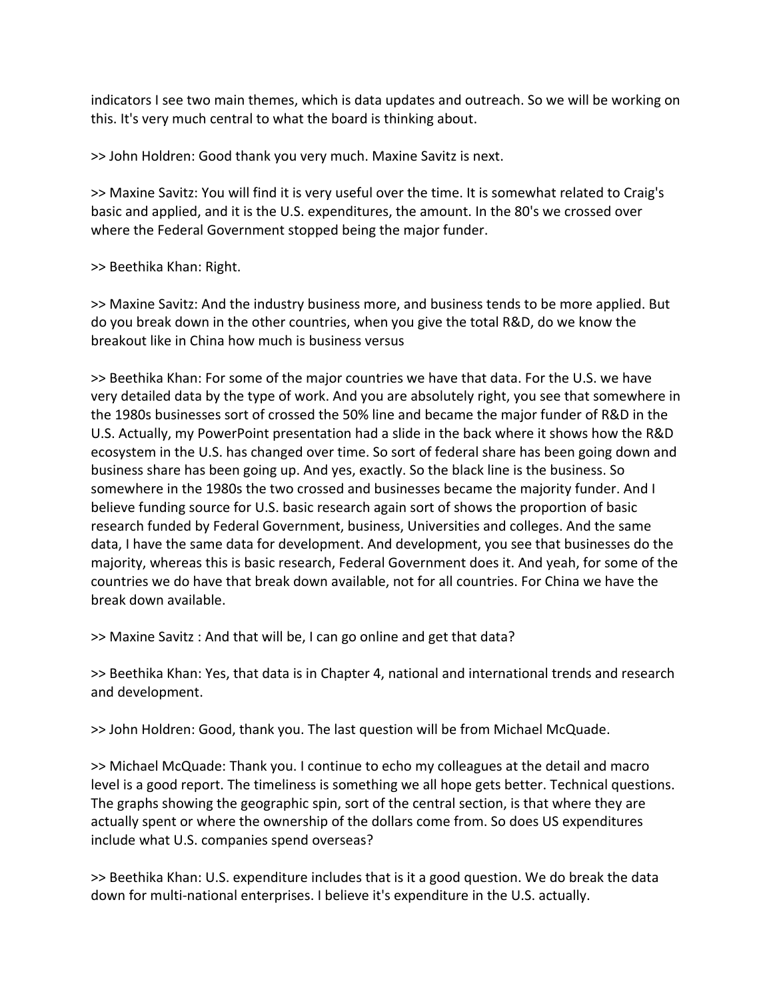indicators I see two main themes, which is data updates and outreach. So we will be working on this. It's very much central to what the board is thinking about.

>> John Holdren: Good thank you very much. Maxine Savitz is next.

>> Maxine Savitz: You will find it is very useful over the time. It is somewhat related to Craig's basic and applied, and it is the U.S. expenditures, the amount. In the 80's we crossed over where the Federal Government stopped being the major funder.

>> Beethika Khan: Right.

>> Maxine Savitz: And the industry business more, and business tends to be more applied. But do you break down in the other countries, when you give the total R&D, do we know the breakout like in China how much is business versus

>> Beethika Khan: For some of the major countries we have that data. For the U.S. we have very detailed data by the type of work. And you are absolutely right, you see that somewhere in the 1980s businesses sort of crossed the 50% line and became the major funder of R&D in the U.S. Actually, my PowerPoint presentation had a slide in the back where it shows how the R&D ecosystem in the U.S. has changed over time. So sort of federal share has been going down and business share has been going up. And yes, exactly. So the black line is the business. So somewhere in the 1980s the two crossed and businesses became the majority funder. And I believe funding source for U.S. basic research again sort of shows the proportion of basic research funded by Federal Government, business, Universities and colleges. And the same data, I have the same data for development. And development, you see that businesses do the majority, whereas this is basic research, Federal Government does it. And yeah, for some of the countries we do have that break down available, not for all countries. For China we have the break down available.

>> Maxine Savitz : And that will be, I can go online and get that data?

>> Beethika Khan: Yes, that data is in Chapter 4, national and international trends and research and development.

>> John Holdren: Good, thank you. The last question will be from Michael McQuade.

>> Michael McQuade: Thank you. I continue to echo my colleagues at the detail and macro level is a good report. The timeliness is something we all hope gets better. Technical questions. The graphs showing the geographic spin, sort of the central section, is that where they are actually spent or where the ownership of the dollars come from. So does US expenditures include what U.S. companies spend overseas?

>> Beethika Khan: U.S. expenditure includes that is it a good question. We do break the data down for multi-national enterprises. I believe it's expenditure in the U.S. actually.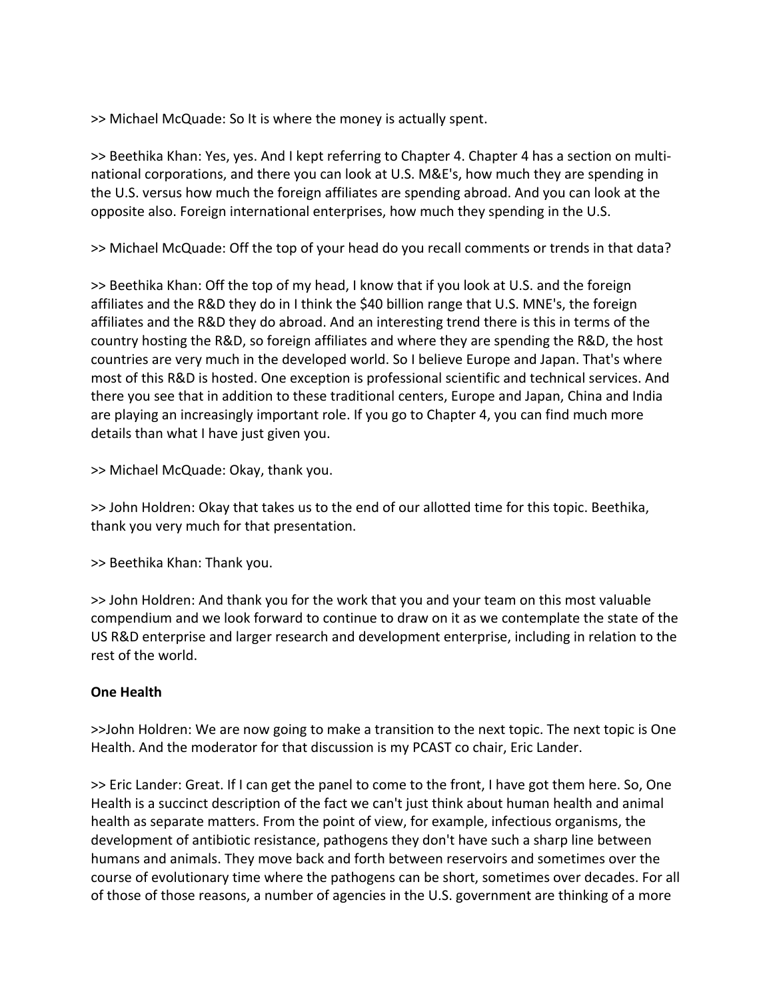>> Michael McQuade: So It is where the money is actually spent.

>> Beethika Khan: Yes, yes. And I kept referring to Chapter 4. Chapter 4 has a section on multi‐ national corporations, and there you can look at U.S. M&E's, how much they are spending in the U.S. versus how much the foreign affiliates are spending abroad. And you can look at the opposite also. Foreign international enterprises, how much they spending in the U.S.

>> Michael McQuade: Off the top of your head do you recall comments or trends in that data?

>> Beethika Khan: Off the top of my head, I know that if you look at U.S. and the foreign affiliates and the R&D they do in I think the \$40 billion range that U.S. MNE's, the foreign affiliates and the R&D they do abroad. And an interesting trend there is this in terms of the country hosting the R&D, so foreign affiliates and where they are spending the R&D, the host countries are very much in the developed world. So I believe Europe and Japan. That's where most of this R&D is hosted. One exception is professional scientific and technical services. And there you see that in addition to these traditional centers, Europe and Japan, China and India are playing an increasingly important role. If you go to Chapter 4, you can find much more details than what I have just given you.

>> Michael McQuade: Okay, thank you.

>> John Holdren: Okay that takes us to the end of our allotted time for this topic. Beethika, thank you very much for that presentation.

>> Beethika Khan: Thank you.

>> John Holdren: And thank you for the work that you and your team on this most valuable compendium and we look forward to continue to draw on it as we contemplate the state of the US R&D enterprise and larger research and development enterprise, including in relation to the rest of the world.

# **One Health**

>>John Holdren: We are now going to make a transition to the next topic. The next topic is One Health. And the moderator for that discussion is my PCAST co chair, Eric Lander.

>> Eric Lander: Great. If I can get the panel to come to the front, I have got them here. So, One Health is a succinct description of the fact we can't just think about human health and animal health as separate matters. From the point of view, for example, infectious organisms, the development of antibiotic resistance, pathogens they don't have such a sharp line between humans and animals. They move back and forth between reservoirs and sometimes over the course of evolutionary time where the pathogens can be short, sometimes over decades. For all of those of those reasons, a number of agencies in the U.S. government are thinking of a more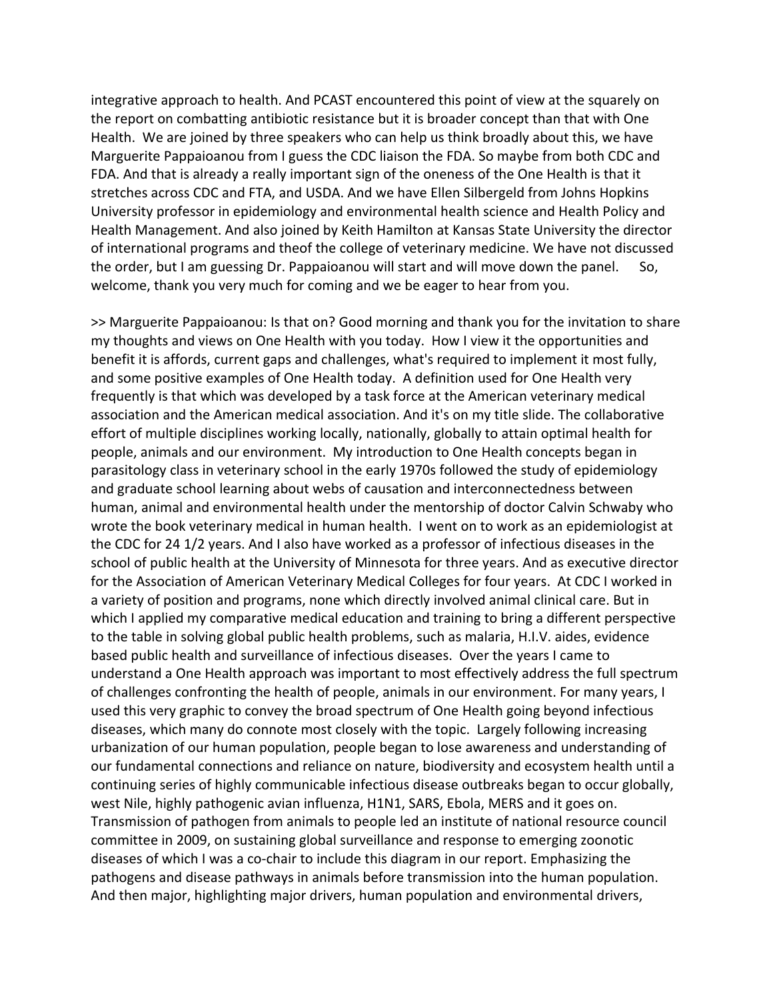integrative approach to health. And PCAST encountered this point of view at the squarely on the report on combatting antibiotic resistance but it is broader concept than that with One Health. We are joined by three speakers who can help us think broadly about this, we have Marguerite Pappaioanou from I guess the CDC liaison the FDA. So maybe from both CDC and FDA. And that is already a really important sign of the oneness of the One Health is that it stretches across CDC and FTA, and USDA. And we have Ellen Silbergeld from Johns Hopkins University professor in epidemiology and environmental health science and Health Policy and Health Management. And also joined by Keith Hamilton at Kansas State University the director of international programs and theof the college of veterinary medicine. We have not discussed the order, but I am guessing Dr. Pappaioanou will start and will move down the panel. So, welcome, thank you very much for coming and we be eager to hear from you.

>> Marguerite Pappaioanou: Is that on? Good morning and thank you for the invitation to share my thoughts and views on One Health with you today. How I view it the opportunities and benefit it is affords, current gaps and challenges, what's required to implement it most fully, and some positive examples of One Health today. A definition used for One Health very frequently is that which was developed by a task force at the American veterinary medical association and the American medical association. And it's on my title slide. The collaborative effort of multiple disciplines working locally, nationally, globally to attain optimal health for people, animals and our environment. My introduction to One Health concepts began in parasitology class in veterinary school in the early 1970s followed the study of epidemiology and graduate school learning about webs of causation and interconnectedness between human, animal and environmental health under the mentorship of doctor Calvin Schwaby who wrote the book veterinary medical in human health. I went on to work as an epidemiologist at the CDC for 24 1/2 years. And I also have worked as a professor of infectious diseases in the school of public health at the University of Minnesota for three years. And as executive director for the Association of American Veterinary Medical Colleges for four years. At CDC I worked in a variety of position and programs, none which directly involved animal clinical care. But in which I applied my comparative medical education and training to bring a different perspective to the table in solving global public health problems, such as malaria, H.I.V. aides, evidence based public health and surveillance of infectious diseases. Over the years I came to understand a One Health approach was important to most effectively address the full spectrum of challenges confronting the health of people, animals in our environment. For many years, I used this very graphic to convey the broad spectrum of One Health going beyond infectious diseases, which many do connote most closely with the topic. Largely following increasing urbanization of our human population, people began to lose awareness and understanding of our fundamental connections and reliance on nature, biodiversity and ecosystem health until a continuing series of highly communicable infectious disease outbreaks began to occur globally, west Nile, highly pathogenic avian influenza, H1N1, SARS, Ebola, MERS and it goes on. Transmission of pathogen from animals to people led an institute of national resource council committee in 2009, on sustaining global surveillance and response to emerging zoonotic diseases of which I was a co-chair to include this diagram in our report. Emphasizing the pathogens and disease pathways in animals before transmission into the human population. And then major, highlighting major drivers, human population and environmental drivers,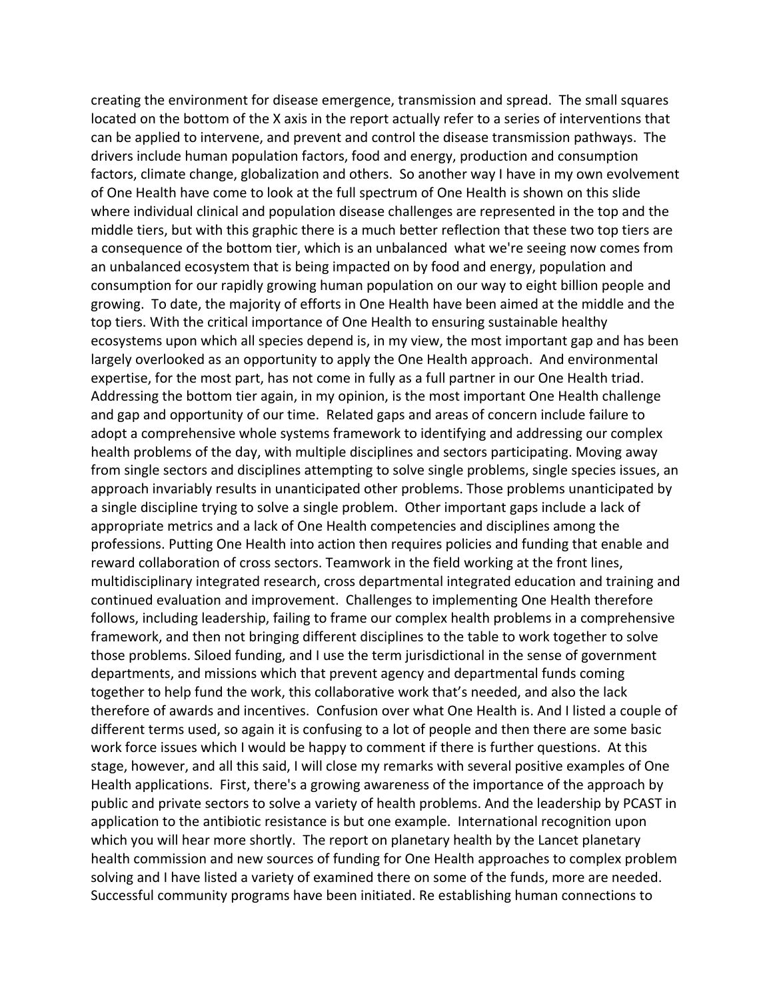creating the environment for disease emergence, transmission and spread. The small squares located on the bottom of the X axis in the report actually refer to a series of interventions that can be applied to intervene, and prevent and control the disease transmission pathways. The drivers include human population factors, food and energy, production and consumption factors, climate change, globalization and others. So another way I have in my own evolvement of One Health have come to look at the full spectrum of One Health is shown on this slide where individual clinical and population disease challenges are represented in the top and the middle tiers, but with this graphic there is a much better reflection that these two top tiers are a consequence of the bottom tier, which is an unbalanced what we're seeing now comes from an unbalanced ecosystem that is being impacted on by food and energy, population and consumption for our rapidly growing human population on our way to eight billion people and growing. To date, the majority of efforts in One Health have been aimed at the middle and the top tiers. With the critical importance of One Health to ensuring sustainable healthy ecosystems upon which all species depend is, in my view, the most important gap and has been largely overlooked as an opportunity to apply the One Health approach. And environmental expertise, for the most part, has not come in fully as a full partner in our One Health triad. Addressing the bottom tier again, in my opinion, is the most important One Health challenge and gap and opportunity of our time. Related gaps and areas of concern include failure to adopt a comprehensive whole systems framework to identifying and addressing our complex health problems of the day, with multiple disciplines and sectors participating. Moving away from single sectors and disciplines attempting to solve single problems, single species issues, an approach invariably results in unanticipated other problems. Those problems unanticipated by a single discipline trying to solve a single problem. Other important gaps include a lack of appropriate metrics and a lack of One Health competencies and disciplines among the professions. Putting One Health into action then requires policies and funding that enable and reward collaboration of cross sectors. Teamwork in the field working at the front lines, multidisciplinary integrated research, cross departmental integrated education and training and continued evaluation and improvement. Challenges to implementing One Health therefore follows, including leadership, failing to frame our complex health problems in a comprehensive framework, and then not bringing different disciplines to the table to work together to solve those problems. Siloed funding, and I use the term jurisdictional in the sense of government departments, and missions which that prevent agency and departmental funds coming together to help fund the work, this collaborative work that's needed, and also the lack therefore of awards and incentives. Confusion over what One Health is. And I listed a couple of different terms used, so again it is confusing to a lot of people and then there are some basic work force issues which I would be happy to comment if there is further questions. At this stage, however, and all this said, I will close my remarks with several positive examples of One Health applications. First, there's a growing awareness of the importance of the approach by public and private sectors to solve a variety of health problems. And the leadership by PCAST in application to the antibiotic resistance is but one example. International recognition upon which you will hear more shortly. The report on planetary health by the Lancet planetary health commission and new sources of funding for One Health approaches to complex problem solving and I have listed a variety of examined there on some of the funds, more are needed. Successful community programs have been initiated. Re establishing human connections to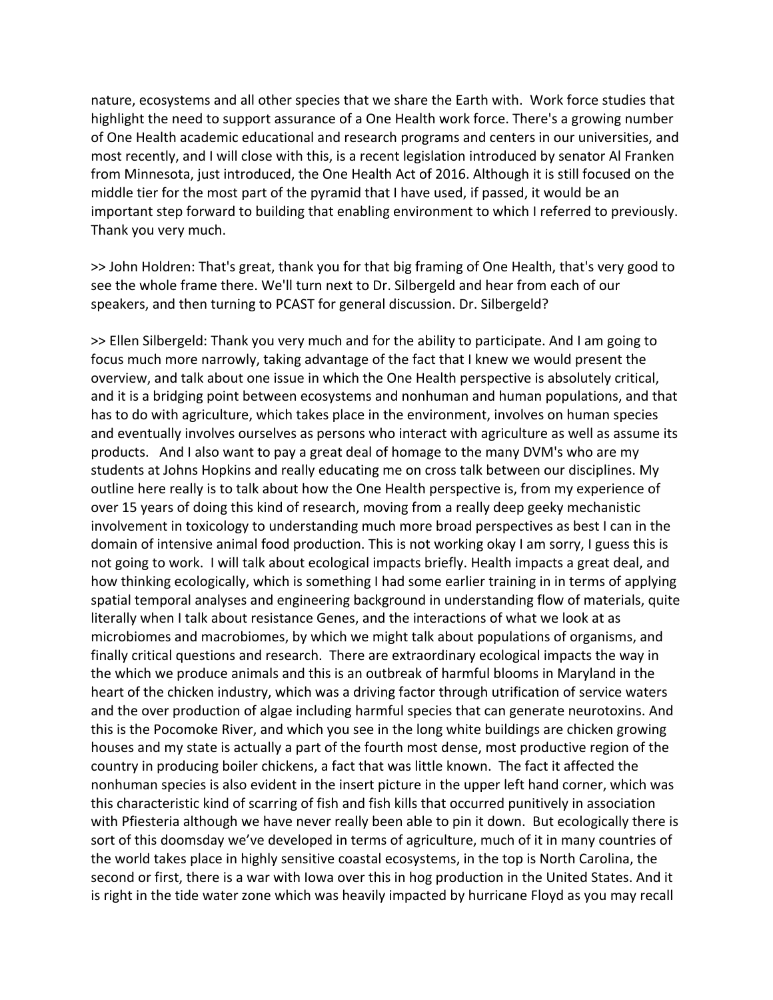nature, ecosystems and all other species that we share the Earth with. Work force studies that highlight the need to support assurance of a One Health work force. There's a growing number of One Health academic educational and research programs and centers in our universities, and most recently, and I will close with this, is a recent legislation introduced by senator Al Franken from Minnesota, just introduced, the One Health Act of 2016. Although it is still focused on the middle tier for the most part of the pyramid that I have used, if passed, it would be an important step forward to building that enabling environment to which I referred to previously. Thank you very much.

>> John Holdren: That's great, thank you for that big framing of One Health, that's very good to see the whole frame there. We'll turn next to Dr. Silbergeld and hear from each of our speakers, and then turning to PCAST for general discussion. Dr. Silbergeld?

>> Ellen Silbergeld: Thank you very much and for the ability to participate. And I am going to focus much more narrowly, taking advantage of the fact that I knew we would present the overview, and talk about one issue in which the One Health perspective is absolutely critical, and it is a bridging point between ecosystems and nonhuman and human populations, and that has to do with agriculture, which takes place in the environment, involves on human species and eventually involves ourselves as persons who interact with agriculture as well as assume its products. And I also want to pay a great deal of homage to the many DVM's who are my students at Johns Hopkins and really educating me on cross talk between our disciplines. My outline here really is to talk about how the One Health perspective is, from my experience of over 15 years of doing this kind of research, moving from a really deep geeky mechanistic involvement in toxicology to understanding much more broad perspectives as best I can in the domain of intensive animal food production. This is not working okay I am sorry, I guess this is not going to work. I will talk about ecological impacts briefly. Health impacts a great deal, and how thinking ecologically, which is something I had some earlier training in in terms of applying spatial temporal analyses and engineering background in understanding flow of materials, quite literally when I talk about resistance Genes, and the interactions of what we look at as microbiomes and macrobiomes, by which we might talk about populations of organisms, and finally critical questions and research. There are extraordinary ecological impacts the way in the which we produce animals and this is an outbreak of harmful blooms in Maryland in the heart of the chicken industry, which was a driving factor through utrification of service waters and the over production of algae including harmful species that can generate neurotoxins. And this is the Pocomoke River, and which you see in the long white buildings are chicken growing houses and my state is actually a part of the fourth most dense, most productive region of the country in producing boiler chickens, a fact that was little known. The fact it affected the nonhuman species is also evident in the insert picture in the upper left hand corner, which was this characteristic kind of scarring of fish and fish kills that occurred punitively in association with Pfiesteria although we have never really been able to pin it down. But ecologically there is sort of this doomsday we've developed in terms of agriculture, much of it in many countries of the world takes place in highly sensitive coastal ecosystems, in the top is North Carolina, the second or first, there is a war with Iowa over this in hog production in the United States. And it is right in the tide water zone which was heavily impacted by hurricane Floyd as you may recall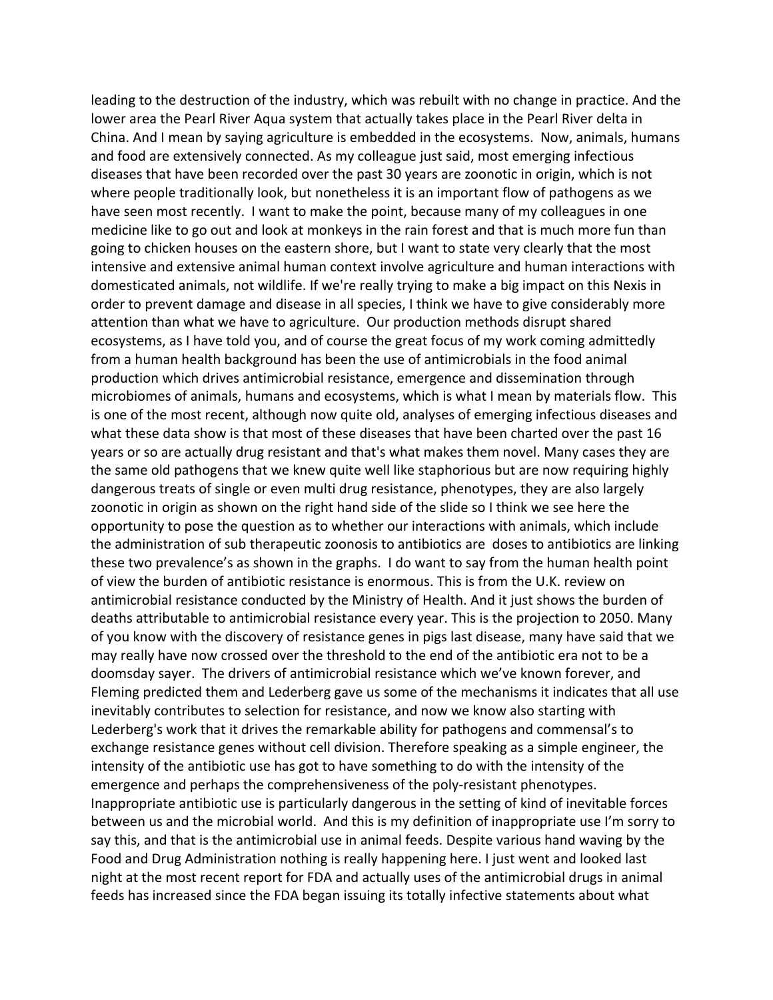leading to the destruction of the industry, which was rebuilt with no change in practice. And the lower area the Pearl River Aqua system that actually takes place in the Pearl River delta in China. And I mean by saying agriculture is embedded in the ecosystems. Now, animals, humans and food are extensively connected. As my colleague just said, most emerging infectious diseases that have been recorded over the past 30 years are zoonotic in origin, which is not where people traditionally look, but nonetheless it is an important flow of pathogens as we have seen most recently. I want to make the point, because many of my colleagues in one medicine like to go out and look at monkeys in the rain forest and that is much more fun than going to chicken houses on the eastern shore, but I want to state very clearly that the most intensive and extensive animal human context involve agriculture and human interactions with domesticated animals, not wildlife. If we're really trying to make a big impact on this Nexis in order to prevent damage and disease in all species, I think we have to give considerably more attention than what we have to agriculture. Our production methods disrupt shared ecosystems, as I have told you, and of course the great focus of my work coming admittedly from a human health background has been the use of antimicrobials in the food animal production which drives antimicrobial resistance, emergence and dissemination through microbiomes of animals, humans and ecosystems, which is what I mean by materials flow. This is one of the most recent, although now quite old, analyses of emerging infectious diseases and what these data show is that most of these diseases that have been charted over the past 16 years or so are actually drug resistant and that's what makes them novel. Many cases they are the same old pathogens that we knew quite well like staphorious but are now requiring highly dangerous treats of single or even multi drug resistance, phenotypes, they are also largely zoonotic in origin as shown on the right hand side of the slide so I think we see here the opportunity to pose the question as to whether our interactions with animals, which include the administration of sub therapeutic zoonosis to antibiotics are doses to antibiotics are linking these two prevalence's as shown in the graphs. I do want to say from the human health point of view the burden of antibiotic resistance is enormous. This is from the U.K. review on antimicrobial resistance conducted by the Ministry of Health. And it just shows the burden of deaths attributable to antimicrobial resistance every year. This is the projection to 2050. Many of you know with the discovery of resistance genes in pigs last disease, many have said that we may really have now crossed over the threshold to the end of the antibiotic era not to be a doomsday sayer. The drivers of antimicrobial resistance which we've known forever, and Fleming predicted them and Lederberg gave us some of the mechanisms it indicates that all use inevitably contributes to selection for resistance, and now we know also starting with Lederberg's work that it drives the remarkable ability for pathogens and commensal's to exchange resistance genes without cell division. Therefore speaking as a simple engineer, the intensity of the antibiotic use has got to have something to do with the intensity of the emergence and perhaps the comprehensiveness of the poly-resistant phenotypes. Inappropriate antibiotic use is particularly dangerous in the setting of kind of inevitable forces between us and the microbial world. And this is my definition of inappropriate use I'm sorry to say this, and that is the antimicrobial use in animal feeds. Despite various hand waving by the Food and Drug Administration nothing is really happening here. I just went and looked last night at the most recent report for FDA and actually uses of the antimicrobial drugs in animal feeds has increased since the FDA began issuing its totally infective statements about what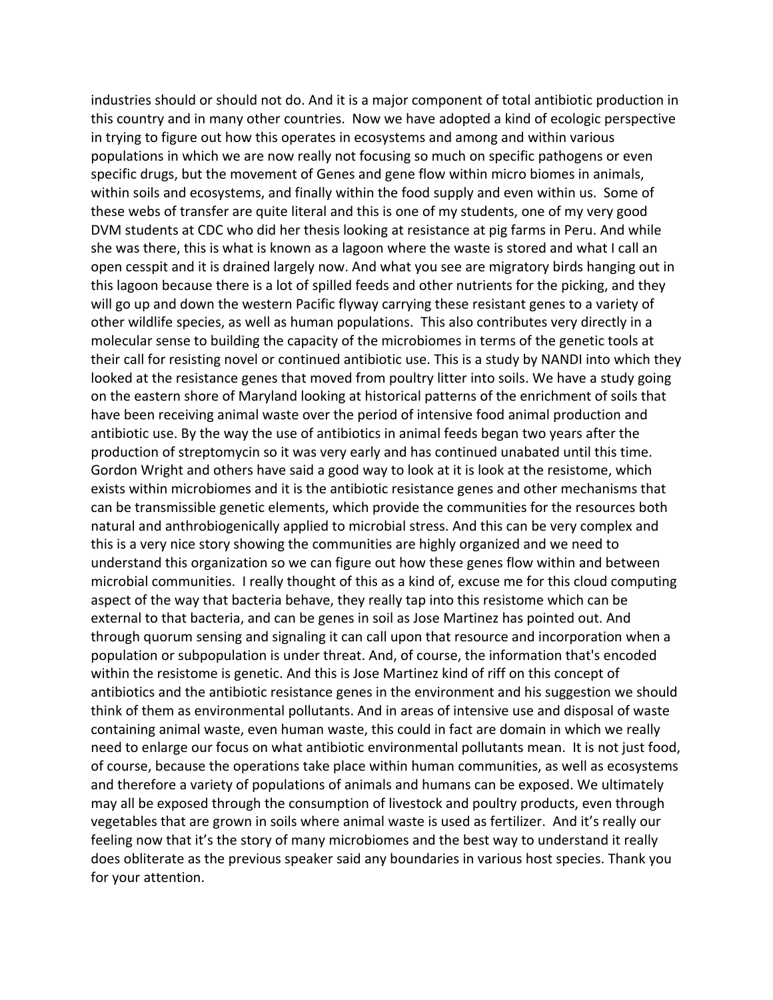industries should or should not do. And it is a major component of total antibiotic production in this country and in many other countries. Now we have adopted a kind of ecologic perspective in trying to figure out how this operates in ecosystems and among and within various populations in which we are now really not focusing so much on specific pathogens or even specific drugs, but the movement of Genes and gene flow within micro biomes in animals, within soils and ecosystems, and finally within the food supply and even within us. Some of these webs of transfer are quite literal and this is one of my students, one of my very good DVM students at CDC who did her thesis looking at resistance at pig farms in Peru. And while she was there, this is what is known as a lagoon where the waste is stored and what I call an open cesspit and it is drained largely now. And what you see are migratory birds hanging out in this lagoon because there is a lot of spilled feeds and other nutrients for the picking, and they will go up and down the western Pacific flyway carrying these resistant genes to a variety of other wildlife species, as well as human populations. This also contributes very directly in a molecular sense to building the capacity of the microbiomes in terms of the genetic tools at their call for resisting novel or continued antibiotic use. This is a study by NANDI into which they looked at the resistance genes that moved from poultry litter into soils. We have a study going on the eastern shore of Maryland looking at historical patterns of the enrichment of soils that have been receiving animal waste over the period of intensive food animal production and antibiotic use. By the way the use of antibiotics in animal feeds began two years after the production of streptomycin so it was very early and has continued unabated until this time. Gordon Wright and others have said a good way to look at it is look at the resistome, which exists within microbiomes and it is the antibiotic resistance genes and other mechanisms that can be transmissible genetic elements, which provide the communities for the resources both natural and anthrobiogenically applied to microbial stress. And this can be very complex and this is a very nice story showing the communities are highly organized and we need to understand this organization so we can figure out how these genes flow within and between microbial communities. I really thought of this as a kind of, excuse me for this cloud computing aspect of the way that bacteria behave, they really tap into this resistome which can be external to that bacteria, and can be genes in soil as Jose Martinez has pointed out. And through quorum sensing and signaling it can call upon that resource and incorporation when a population or subpopulation is under threat. And, of course, the information that's encoded within the resistome is genetic. And this is Jose Martinez kind of riff on this concept of antibiotics and the antibiotic resistance genes in the environment and his suggestion we should think of them as environmental pollutants. And in areas of intensive use and disposal of waste containing animal waste, even human waste, this could in fact are domain in which we really need to enlarge our focus on what antibiotic environmental pollutants mean. It is not just food, of course, because the operations take place within human communities, as well as ecosystems and therefore a variety of populations of animals and humans can be exposed. We ultimately may all be exposed through the consumption of livestock and poultry products, even through vegetables that are grown in soils where animal waste is used as fertilizer. And it's really our feeling now that it's the story of many microbiomes and the best way to understand it really does obliterate as the previous speaker said any boundaries in various host species. Thank you for your attention.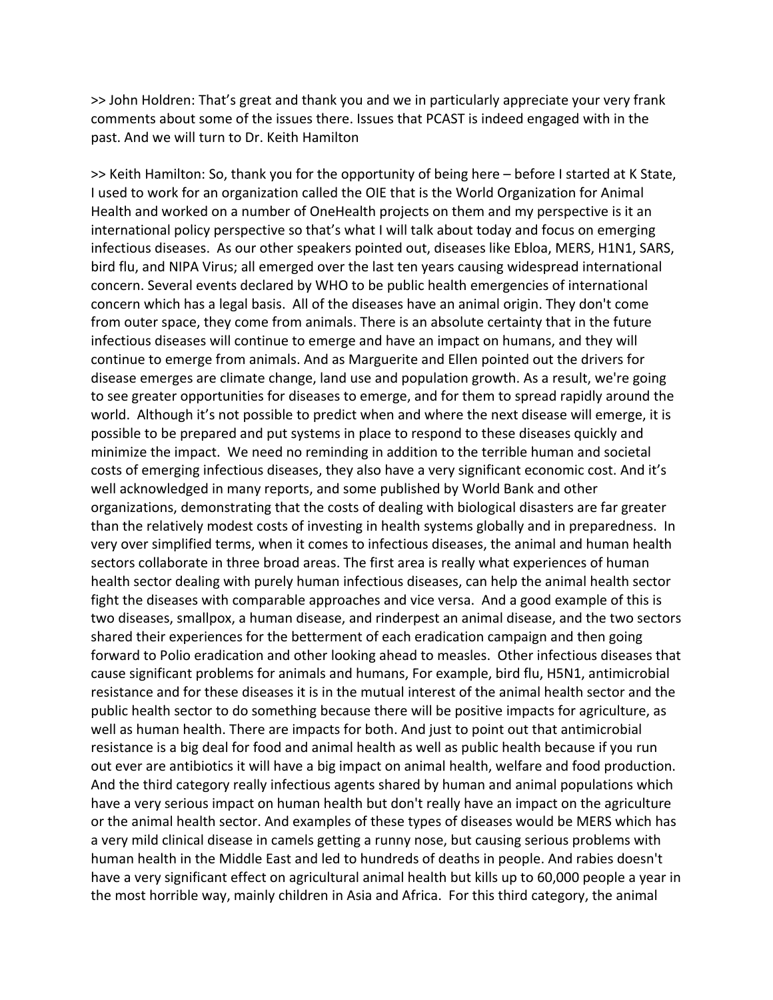>> John Holdren: That's great and thank you and we in particularly appreciate your very frank comments about some of the issues there. Issues that PCAST is indeed engaged with in the past. And we will turn to Dr. Keith Hamilton

>> Keith Hamilton: So, thank you for the opportunity of being here – before I started at K State, I used to work for an organization called the OIE that is the World Organization for Animal Health and worked on a number of OneHealth projects on them and my perspective is it an international policy perspective so that's what I will talk about today and focus on emerging infectious diseases. As our other speakers pointed out, diseases like Ebloa, MERS, H1N1, SARS, bird flu, and NIPA Virus; all emerged over the last ten years causing widespread international concern. Several events declared by WHO to be public health emergencies of international concern which has a legal basis. All of the diseases have an animal origin. They don't come from outer space, they come from animals. There is an absolute certainty that in the future infectious diseases will continue to emerge and have an impact on humans, and they will continue to emerge from animals. And as Marguerite and Ellen pointed out the drivers for disease emerges are climate change, land use and population growth. As a result, we're going to see greater opportunities for diseases to emerge, and for them to spread rapidly around the world. Although it's not possible to predict when and where the next disease will emerge, it is possible to be prepared and put systems in place to respond to these diseases quickly and minimize the impact. We need no reminding in addition to the terrible human and societal costs of emerging infectious diseases, they also have a very significant economic cost. And it's well acknowledged in many reports, and some published by World Bank and other organizations, demonstrating that the costs of dealing with biological disasters are far greater than the relatively modest costs of investing in health systems globally and in preparedness. In very over simplified terms, when it comes to infectious diseases, the animal and human health sectors collaborate in three broad areas. The first area is really what experiences of human health sector dealing with purely human infectious diseases, can help the animal health sector fight the diseases with comparable approaches and vice versa. And a good example of this is two diseases, smallpox, a human disease, and rinderpest an animal disease, and the two sectors shared their experiences for the betterment of each eradication campaign and then going forward to Polio eradication and other looking ahead to measles. Other infectious diseases that cause significant problems for animals and humans, For example, bird flu, H5N1, antimicrobial resistance and for these diseases it is in the mutual interest of the animal health sector and the public health sector to do something because there will be positive impacts for agriculture, as well as human health. There are impacts for both. And just to point out that antimicrobial resistance is a big deal for food and animal health as well as public health because if you run out ever are antibiotics it will have a big impact on animal health, welfare and food production. And the third category really infectious agents shared by human and animal populations which have a very serious impact on human health but don't really have an impact on the agriculture or the animal health sector. And examples of these types of diseases would be MERS which has a very mild clinical disease in camels getting a runny nose, but causing serious problems with human health in the Middle East and led to hundreds of deaths in people. And rabies doesn't have a very significant effect on agricultural animal health but kills up to 60,000 people a year in the most horrible way, mainly children in Asia and Africa. For this third category, the animal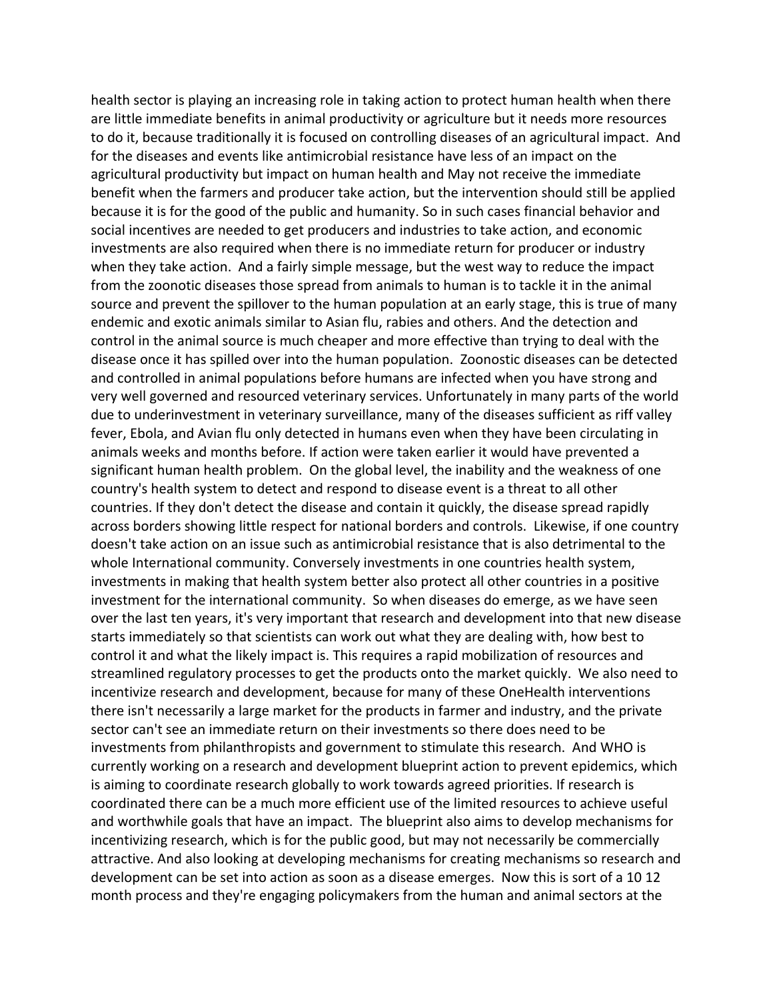health sector is playing an increasing role in taking action to protect human health when there are little immediate benefits in animal productivity or agriculture but it needs more resources to do it, because traditionally it is focused on controlling diseases of an agricultural impact. And for the diseases and events like antimicrobial resistance have less of an impact on the agricultural productivity but impact on human health and May not receive the immediate benefit when the farmers and producer take action, but the intervention should still be applied because it is for the good of the public and humanity. So in such cases financial behavior and social incentives are needed to get producers and industries to take action, and economic investments are also required when there is no immediate return for producer or industry when they take action. And a fairly simple message, but the west way to reduce the impact from the zoonotic diseases those spread from animals to human is to tackle it in the animal source and prevent the spillover to the human population at an early stage, this is true of many endemic and exotic animals similar to Asian flu, rabies and others. And the detection and control in the animal source is much cheaper and more effective than trying to deal with the disease once it has spilled over into the human population. Zoonostic diseases can be detected and controlled in animal populations before humans are infected when you have strong and very well governed and resourced veterinary services. Unfortunately in many parts of the world due to underinvestment in veterinary surveillance, many of the diseases sufficient as riff valley fever, Ebola, and Avian flu only detected in humans even when they have been circulating in animals weeks and months before. If action were taken earlier it would have prevented a significant human health problem. On the global level, the inability and the weakness of one country's health system to detect and respond to disease event is a threat to all other countries. If they don't detect the disease and contain it quickly, the disease spread rapidly across borders showing little respect for national borders and controls. Likewise, if one country doesn't take action on an issue such as antimicrobial resistance that is also detrimental to the whole International community. Conversely investments in one countries health system, investments in making that health system better also protect all other countries in a positive investment for the international community. So when diseases do emerge, as we have seen over the last ten years, it's very important that research and development into that new disease starts immediately so that scientists can work out what they are dealing with, how best to control it and what the likely impact is. This requires a rapid mobilization of resources and streamlined regulatory processes to get the products onto the market quickly. We also need to incentivize research and development, because for many of these OneHealth interventions there isn't necessarily a large market for the products in farmer and industry, and the private sector can't see an immediate return on their investments so there does need to be investments from philanthropists and government to stimulate this research. And WHO is currently working on a research and development blueprint action to prevent epidemics, which is aiming to coordinate research globally to work towards agreed priorities. If research is coordinated there can be a much more efficient use of the limited resources to achieve useful and worthwhile goals that have an impact. The blueprint also aims to develop mechanisms for incentivizing research, which is for the public good, but may not necessarily be commercially attractive. And also looking at developing mechanisms for creating mechanisms so research and development can be set into action as soon as a disease emerges. Now this is sort of a 10 12 month process and they're engaging policymakers from the human and animal sectors at the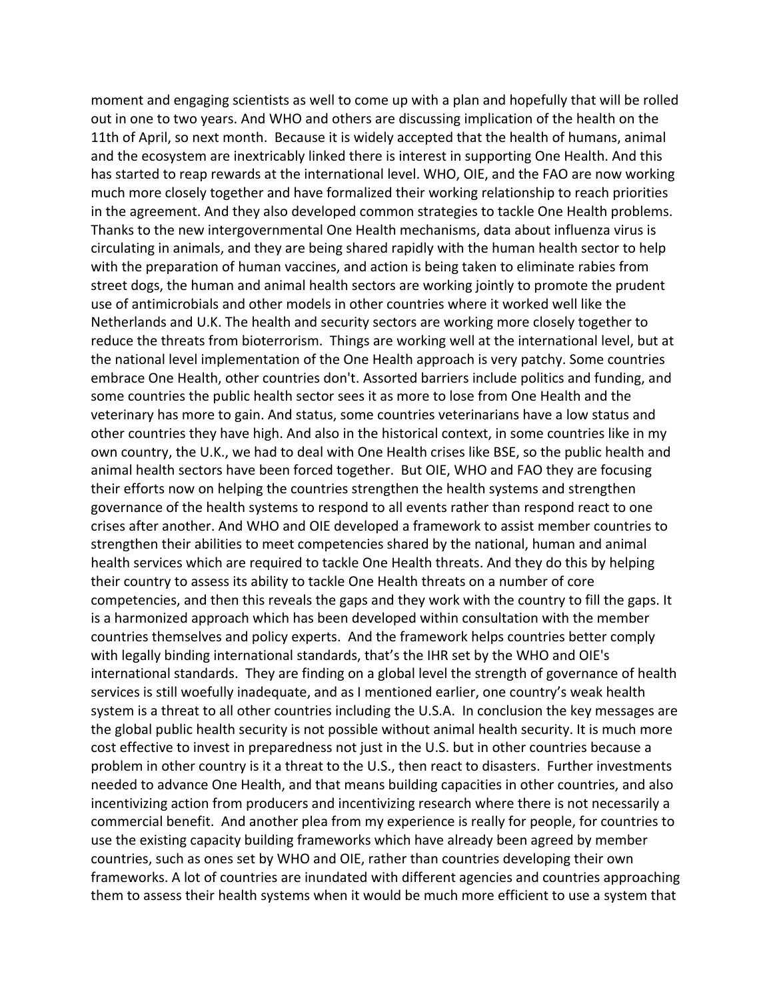moment and engaging scientists as well to come up with a plan and hopefully that will be rolled out in one to two years. And WHO and others are discussing implication of the health on the 11th of April, so next month. Because it is widely accepted that the health of humans, animal and the ecosystem are inextricably linked there is interest in supporting One Health. And this has started to reap rewards at the international level. WHO, OIE, and the FAO are now working much more closely together and have formalized their working relationship to reach priorities in the agreement. And they also developed common strategies to tackle One Health problems. Thanks to the new intergovernmental One Health mechanisms, data about influenza virus is circulating in animals, and they are being shared rapidly with the human health sector to help with the preparation of human vaccines, and action is being taken to eliminate rabies from street dogs, the human and animal health sectors are working jointly to promote the prudent use of antimicrobials and other models in other countries where it worked well like the Netherlands and U.K. The health and security sectors are working more closely together to reduce the threats from bioterrorism. Things are working well at the international level, but at the national level implementation of the One Health approach is very patchy. Some countries embrace One Health, other countries don't. Assorted barriers include politics and funding, and some countries the public health sector sees it as more to lose from One Health and the veterinary has more to gain. And status, some countries veterinarians have a low status and other countries they have high. And also in the historical context, in some countries like in my own country, the U.K., we had to deal with One Health crises like BSE, so the public health and animal health sectors have been forced together. But OIE, WHO and FAO they are focusing their efforts now on helping the countries strengthen the health systems and strengthen governance of the health systems to respond to all events rather than respond react to one crises after another. And WHO and OIE developed a framework to assist member countries to strengthen their abilities to meet competencies shared by the national, human and animal health services which are required to tackle One Health threats. And they do this by helping their country to assess its ability to tackle One Health threats on a number of core competencies, and then this reveals the gaps and they work with the country to fill the gaps. It is a harmonized approach which has been developed within consultation with the member countries themselves and policy experts. And the framework helps countries better comply with legally binding international standards, that's the IHR set by the WHO and OIE's international standards. They are finding on a global level the strength of governance of health services is still woefully inadequate, and as I mentioned earlier, one country's weak health system is a threat to all other countries including the U.S.A. In conclusion the key messages are the global public health security is not possible without animal health security. It is much more cost effective to invest in preparedness not just in the U.S. but in other countries because a problem in other country is it a threat to the U.S., then react to disasters. Further investments needed to advance One Health, and that means building capacities in other countries, and also incentivizing action from producers and incentivizing research where there is not necessarily a commercial benefit. And another plea from my experience is really for people, for countries to use the existing capacity building frameworks which have already been agreed by member countries, such as ones set by WHO and OIE, rather than countries developing their own frameworks. A lot of countries are inundated with different agencies and countries approaching them to assess their health systems when it would be much more efficient to use a system that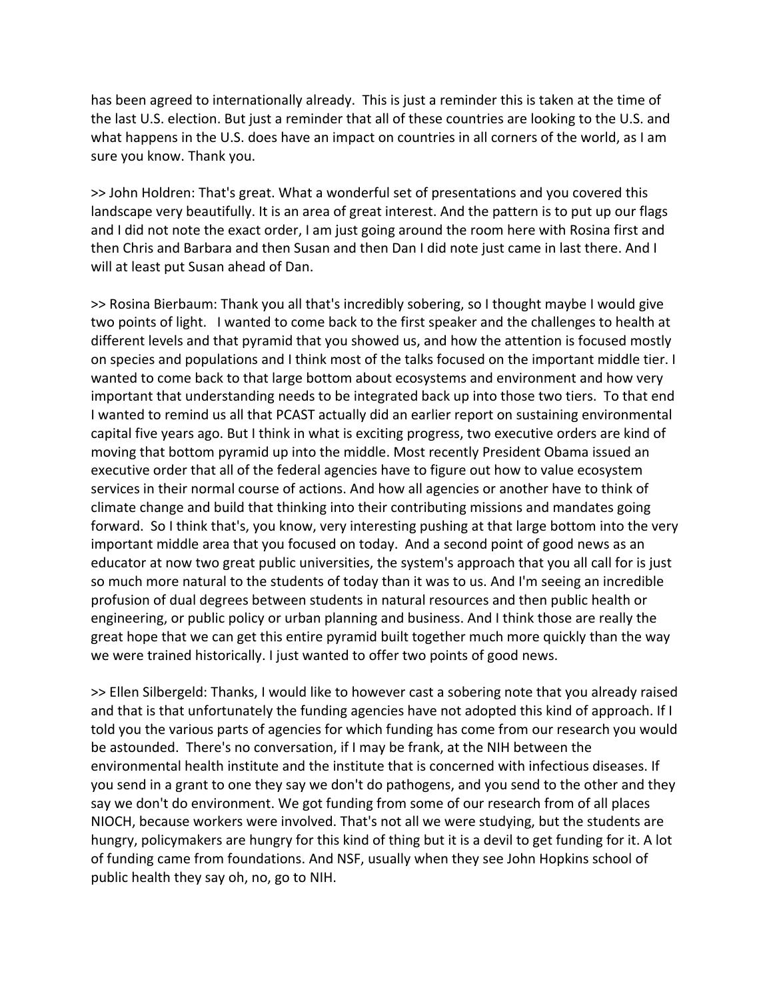has been agreed to internationally already. This is just a reminder this is taken at the time of the last U.S. election. But just a reminder that all of these countries are looking to the U.S. and what happens in the U.S. does have an impact on countries in all corners of the world, as I am sure you know. Thank you.

>> John Holdren: That's great. What a wonderful set of presentations and you covered this landscape very beautifully. It is an area of great interest. And the pattern is to put up our flags and I did not note the exact order, I am just going around the room here with Rosina first and then Chris and Barbara and then Susan and then Dan I did note just came in last there. And I will at least put Susan ahead of Dan.

>> Rosina Bierbaum: Thank you all that's incredibly sobering, so I thought maybe I would give two points of light. I wanted to come back to the first speaker and the challenges to health at different levels and that pyramid that you showed us, and how the attention is focused mostly on species and populations and I think most of the talks focused on the important middle tier. I wanted to come back to that large bottom about ecosystems and environment and how very important that understanding needs to be integrated back up into those two tiers. To that end I wanted to remind us all that PCAST actually did an earlier report on sustaining environmental capital five years ago. But I think in what is exciting progress, two executive orders are kind of moving that bottom pyramid up into the middle. Most recently President Obama issued an executive order that all of the federal agencies have to figure out how to value ecosystem services in their normal course of actions. And how all agencies or another have to think of climate change and build that thinking into their contributing missions and mandates going forward. So I think that's, you know, very interesting pushing at that large bottom into the very important middle area that you focused on today. And a second point of good news as an educator at now two great public universities, the system's approach that you all call for is just so much more natural to the students of today than it was to us. And I'm seeing an incredible profusion of dual degrees between students in natural resources and then public health or engineering, or public policy or urban planning and business. And I think those are really the great hope that we can get this entire pyramid built together much more quickly than the way we were trained historically. I just wanted to offer two points of good news.

>> Ellen Silbergeld: Thanks, I would like to however cast a sobering note that you already raised and that is that unfortunately the funding agencies have not adopted this kind of approach. If I told you the various parts of agencies for which funding has come from our research you would be astounded. There's no conversation, if I may be frank, at the NIH between the environmental health institute and the institute that is concerned with infectious diseases. If you send in a grant to one they say we don't do pathogens, and you send to the other and they say we don't do environment. We got funding from some of our research from of all places NIOCH, because workers were involved. That's not all we were studying, but the students are hungry, policymakers are hungry for this kind of thing but it is a devil to get funding for it. A lot of funding came from foundations. And NSF, usually when they see John Hopkins school of public health they say oh, no, go to NIH.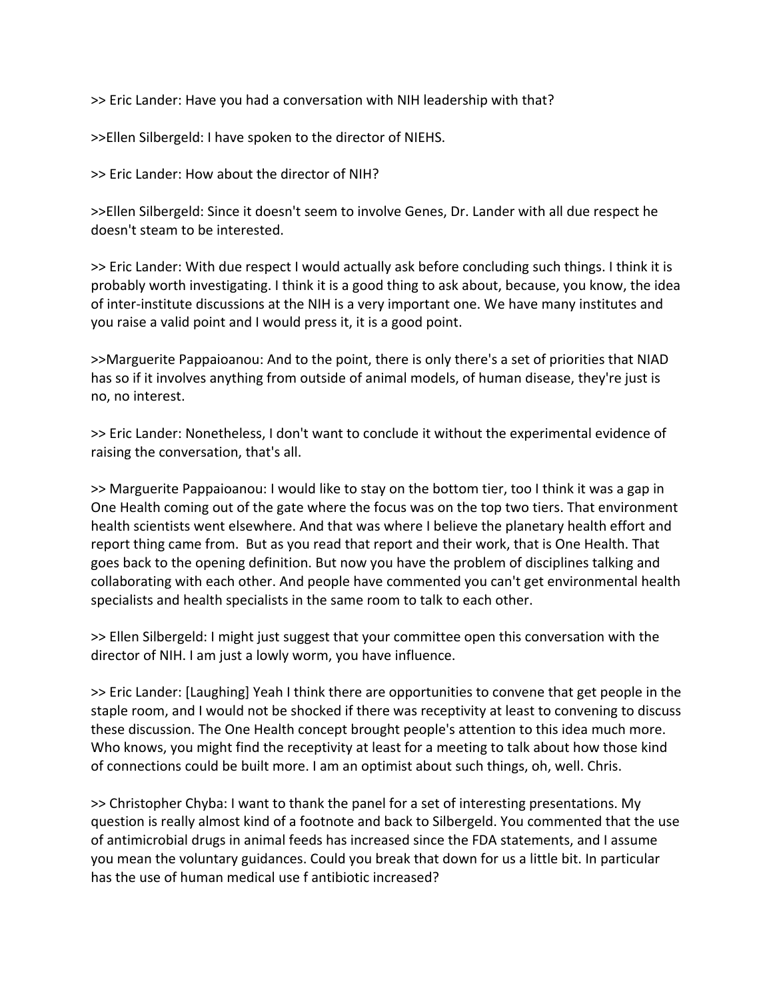>> Eric Lander: Have you had a conversation with NIH leadership with that?

>>Ellen Silbergeld: I have spoken to the director of NIEHS.

>> Eric Lander: How about the director of NIH?

>>Ellen Silbergeld: Since it doesn't seem to involve Genes, Dr. Lander with all due respect he doesn't steam to be interested.

>> Eric Lander: With due respect I would actually ask before concluding such things. I think it is probably worth investigating. I think it is a good thing to ask about, because, you know, the idea of inter‐institute discussions at the NIH is a very important one. We have many institutes and you raise a valid point and I would press it, it is a good point.

>>Marguerite Pappaioanou: And to the point, there is only there's a set of priorities that NIAD has so if it involves anything from outside of animal models, of human disease, they're just is no, no interest.

>> Eric Lander: Nonetheless, I don't want to conclude it without the experimental evidence of raising the conversation, that's all.

>> Marguerite Pappaioanou: I would like to stay on the bottom tier, too I think it was a gap in One Health coming out of the gate where the focus was on the top two tiers. That environment health scientists went elsewhere. And that was where I believe the planetary health effort and report thing came from. But as you read that report and their work, that is One Health. That goes back to the opening definition. But now you have the problem of disciplines talking and collaborating with each other. And people have commented you can't get environmental health specialists and health specialists in the same room to talk to each other.

>> Ellen Silbergeld: I might just suggest that your committee open this conversation with the director of NIH. I am just a lowly worm, you have influence.

>> Eric Lander: [Laughing] Yeah I think there are opportunities to convene that get people in the staple room, and I would not be shocked if there was receptivity at least to convening to discuss these discussion. The One Health concept brought people's attention to this idea much more. Who knows, you might find the receptivity at least for a meeting to talk about how those kind of connections could be built more. I am an optimist about such things, oh, well. Chris.

>> Christopher Chyba: I want to thank the panel for a set of interesting presentations. My question is really almost kind of a footnote and back to Silbergeld. You commented that the use of antimicrobial drugs in animal feeds has increased since the FDA statements, and I assume you mean the voluntary guidances. Could you break that down for us a little bit. In particular has the use of human medical use f antibiotic increased?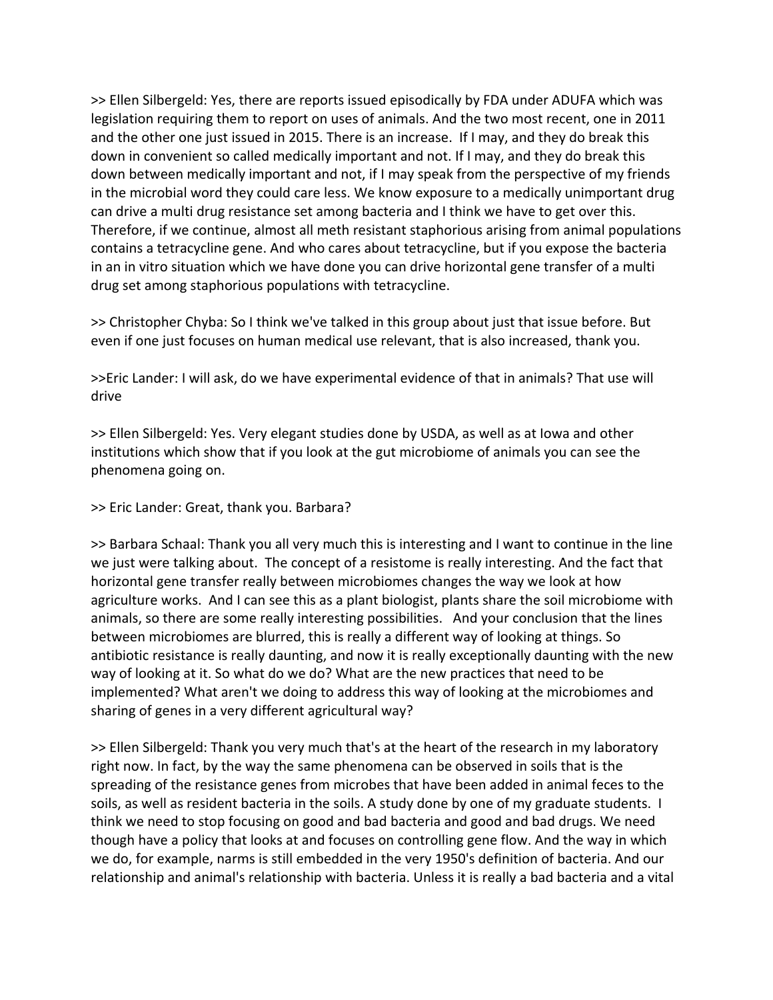>> Ellen Silbergeld: Yes, there are reports issued episodically by FDA under ADUFA which was legislation requiring them to report on uses of animals. And the two most recent, one in 2011 and the other one just issued in 2015. There is an increase. If I may, and they do break this down in convenient so called medically important and not. If I may, and they do break this down between medically important and not, if I may speak from the perspective of my friends in the microbial word they could care less. We know exposure to a medically unimportant drug can drive a multi drug resistance set among bacteria and I think we have to get over this. Therefore, if we continue, almost all meth resistant staphorious arising from animal populations contains a tetracycline gene. And who cares about tetracycline, but if you expose the bacteria in an in vitro situation which we have done you can drive horizontal gene transfer of a multi drug set among staphorious populations with tetracycline.

>> Christopher Chyba: So I think we've talked in this group about just that issue before. But even if one just focuses on human medical use relevant, that is also increased, thank you.

>>Eric Lander: I will ask, do we have experimental evidence of that in animals? That use will drive

>> Ellen Silbergeld: Yes. Very elegant studies done by USDA, as well as at Iowa and other institutions which show that if you look at the gut microbiome of animals you can see the phenomena going on.

### >> Eric Lander: Great, thank you. Barbara?

>> Barbara Schaal: Thank you all very much this is interesting and I want to continue in the line we just were talking about. The concept of a resistome is really interesting. And the fact that horizontal gene transfer really between microbiomes changes the way we look at how agriculture works. And I can see this as a plant biologist, plants share the soil microbiome with animals, so there are some really interesting possibilities. And your conclusion that the lines between microbiomes are blurred, this is really a different way of looking at things. So antibiotic resistance is really daunting, and now it is really exceptionally daunting with the new way of looking at it. So what do we do? What are the new practices that need to be implemented? What aren't we doing to address this way of looking at the microbiomes and sharing of genes in a very different agricultural way?

>> Ellen Silbergeld: Thank you very much that's at the heart of the research in my laboratory right now. In fact, by the way the same phenomena can be observed in soils that is the spreading of the resistance genes from microbes that have been added in animal feces to the soils, as well as resident bacteria in the soils. A study done by one of my graduate students. I think we need to stop focusing on good and bad bacteria and good and bad drugs. We need though have a policy that looks at and focuses on controlling gene flow. And the way in which we do, for example, narms is still embedded in the very 1950's definition of bacteria. And our relationship and animal's relationship with bacteria. Unless it is really a bad bacteria and a vital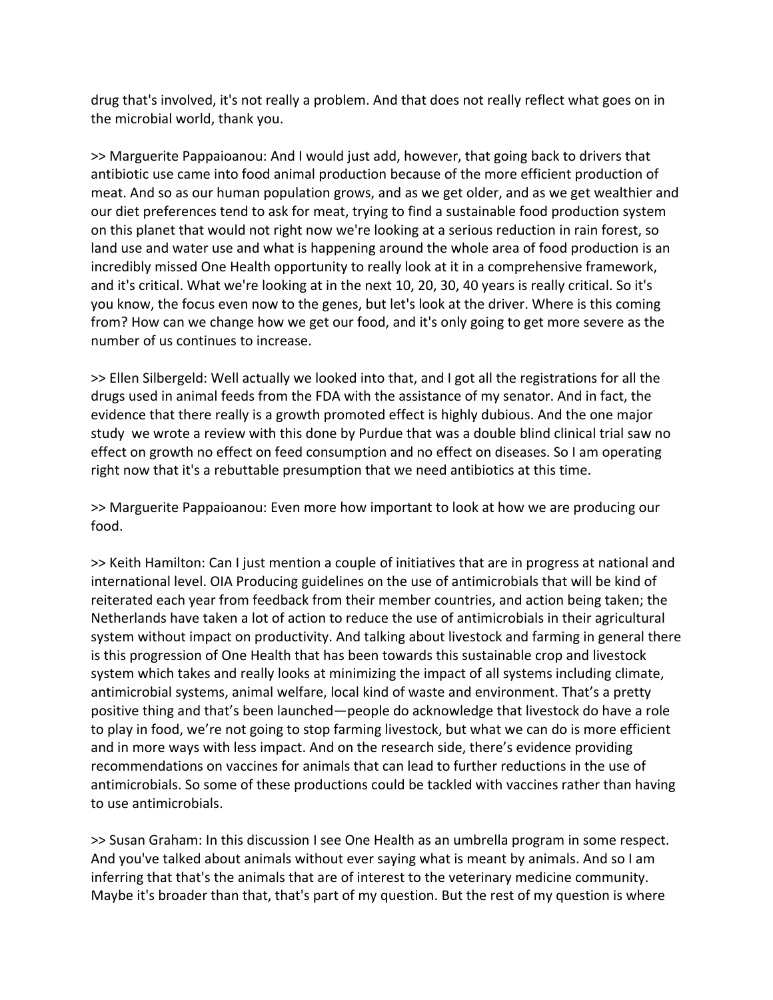drug that's involved, it's not really a problem. And that does not really reflect what goes on in the microbial world, thank you.

>> Marguerite Pappaioanou: And I would just add, however, that going back to drivers that antibiotic use came into food animal production because of the more efficient production of meat. And so as our human population grows, and as we get older, and as we get wealthier and our diet preferences tend to ask for meat, trying to find a sustainable food production system on this planet that would not right now we're looking at a serious reduction in rain forest, so land use and water use and what is happening around the whole area of food production is an incredibly missed One Health opportunity to really look at it in a comprehensive framework, and it's critical. What we're looking at in the next 10, 20, 30, 40 years is really critical. So it's you know, the focus even now to the genes, but let's look at the driver. Where is this coming from? How can we change how we get our food, and it's only going to get more severe as the number of us continues to increase.

>> Ellen Silbergeld: Well actually we looked into that, and I got all the registrations for all the drugs used in animal feeds from the FDA with the assistance of my senator. And in fact, the evidence that there really is a growth promoted effect is highly dubious. And the one major study we wrote a review with this done by Purdue that was a double blind clinical trial saw no effect on growth no effect on feed consumption and no effect on diseases. So I am operating right now that it's a rebuttable presumption that we need antibiotics at this time.

>> Marguerite Pappaioanou: Even more how important to look at how we are producing our food.

>> Keith Hamilton: Can I just mention a couple of initiatives that are in progress at national and international level. OIA Producing guidelines on the use of antimicrobials that will be kind of reiterated each year from feedback from their member countries, and action being taken; the Netherlands have taken a lot of action to reduce the use of antimicrobials in their agricultural system without impact on productivity. And talking about livestock and farming in general there is this progression of One Health that has been towards this sustainable crop and livestock system which takes and really looks at minimizing the impact of all systems including climate, antimicrobial systems, animal welfare, local kind of waste and environment. That's a pretty positive thing and that's been launched—people do acknowledge that livestock do have a role to play in food, we're not going to stop farming livestock, but what we can do is more efficient and in more ways with less impact. And on the research side, there's evidence providing recommendations on vaccines for animals that can lead to further reductions in the use of antimicrobials. So some of these productions could be tackled with vaccines rather than having to use antimicrobials.

>> Susan Graham: In this discussion I see One Health as an umbrella program in some respect. And you've talked about animals without ever saying what is meant by animals. And so I am inferring that that's the animals that are of interest to the veterinary medicine community. Maybe it's broader than that, that's part of my question. But the rest of my question is where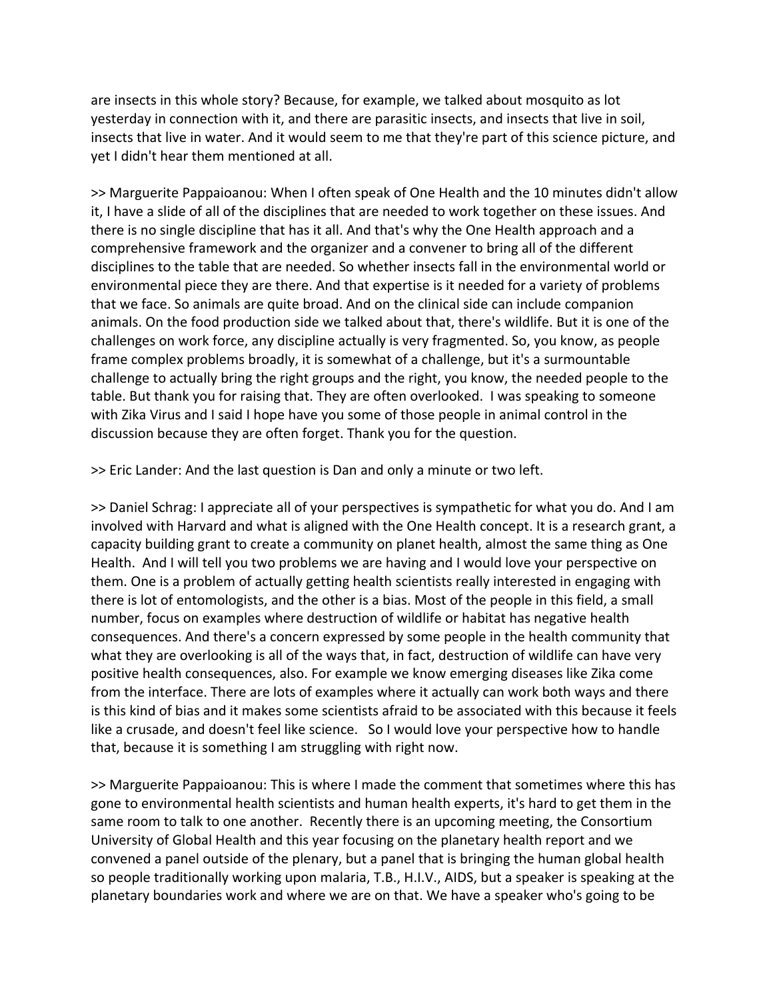are insects in this whole story? Because, for example, we talked about mosquito as lot yesterday in connection with it, and there are parasitic insects, and insects that live in soil, insects that live in water. And it would seem to me that they're part of this science picture, and yet I didn't hear them mentioned at all.

>> Marguerite Pappaioanou: When I often speak of One Health and the 10 minutes didn't allow it, I have a slide of all of the disciplines that are needed to work together on these issues. And there is no single discipline that has it all. And that's why the One Health approach and a comprehensive framework and the organizer and a convener to bring all of the different disciplines to the table that are needed. So whether insects fall in the environmental world or environmental piece they are there. And that expertise is it needed for a variety of problems that we face. So animals are quite broad. And on the clinical side can include companion animals. On the food production side we talked about that, there's wildlife. But it is one of the challenges on work force, any discipline actually is very fragmented. So, you know, as people frame complex problems broadly, it is somewhat of a challenge, but it's a surmountable challenge to actually bring the right groups and the right, you know, the needed people to the table. But thank you for raising that. They are often overlooked. I was speaking to someone with Zika Virus and I said I hope have you some of those people in animal control in the discussion because they are often forget. Thank you for the question.

>> Eric Lander: And the last question is Dan and only a minute or two left.

>> Daniel Schrag: I appreciate all of your perspectives is sympathetic for what you do. And I am involved with Harvard and what is aligned with the One Health concept. It is a research grant, a capacity building grant to create a community on planet health, almost the same thing as One Health. And I will tell you two problems we are having and I would love your perspective on them. One is a problem of actually getting health scientists really interested in engaging with there is lot of entomologists, and the other is a bias. Most of the people in this field, a small number, focus on examples where destruction of wildlife or habitat has negative health consequences. And there's a concern expressed by some people in the health community that what they are overlooking is all of the ways that, in fact, destruction of wildlife can have very positive health consequences, also. For example we know emerging diseases like Zika come from the interface. There are lots of examples where it actually can work both ways and there is this kind of bias and it makes some scientists afraid to be associated with this because it feels like a crusade, and doesn't feel like science. So I would love your perspective how to handle that, because it is something I am struggling with right now.

>> Marguerite Pappaioanou: This is where I made the comment that sometimes where this has gone to environmental health scientists and human health experts, it's hard to get them in the same room to talk to one another. Recently there is an upcoming meeting, the Consortium University of Global Health and this year focusing on the planetary health report and we convened a panel outside of the plenary, but a panel that is bringing the human global health so people traditionally working upon malaria, T.B., H.I.V., AIDS, but a speaker is speaking at the planetary boundaries work and where we are on that. We have a speaker who's going to be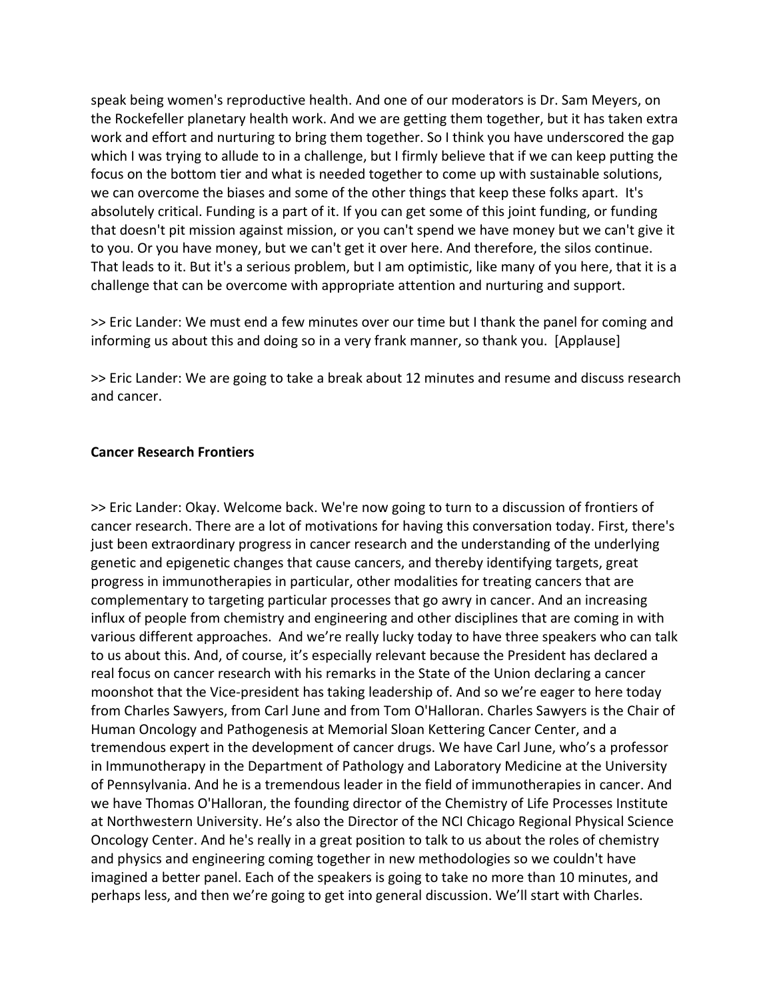speak being women's reproductive health. And one of our moderators is Dr. Sam Meyers, on the Rockefeller planetary health work. And we are getting them together, but it has taken extra work and effort and nurturing to bring them together. So I think you have underscored the gap which I was trying to allude to in a challenge, but I firmly believe that if we can keep putting the focus on the bottom tier and what is needed together to come up with sustainable solutions, we can overcome the biases and some of the other things that keep these folks apart. It's absolutely critical. Funding is a part of it. If you can get some of this joint funding, or funding that doesn't pit mission against mission, or you can't spend we have money but we can't give it to you. Or you have money, but we can't get it over here. And therefore, the silos continue. That leads to it. But it's a serious problem, but I am optimistic, like many of you here, that it is a challenge that can be overcome with appropriate attention and nurturing and support.

>> Eric Lander: We must end a few minutes over our time but I thank the panel for coming and informing us about this and doing so in a very frank manner, so thank you. [Applause]

>> Eric Lander: We are going to take a break about 12 minutes and resume and discuss research and cancer.

### **Cancer Research Frontiers**

>> Eric Lander: Okay. Welcome back. We're now going to turn to a discussion of frontiers of cancer research. There are a lot of motivations for having this conversation today. First, there's just been extraordinary progress in cancer research and the understanding of the underlying genetic and epigenetic changes that cause cancers, and thereby identifying targets, great progress in immunotherapies in particular, other modalities for treating cancers that are complementary to targeting particular processes that go awry in cancer. And an increasing influx of people from chemistry and engineering and other disciplines that are coming in with various different approaches. And we're really lucky today to have three speakers who can talk to us about this. And, of course, it's especially relevant because the President has declared a real focus on cancer research with his remarks in the State of the Union declaring a cancer moonshot that the Vice‐president has taking leadership of. And so we're eager to here today from Charles Sawyers, from Carl June and from Tom O'Halloran. Charles Sawyers is the Chair of Human Oncology and Pathogenesis at Memorial Sloan Kettering Cancer Center, and a tremendous expert in the development of cancer drugs. We have Carl June, who's a professor in Immunotherapy in the Department of Pathology and Laboratory Medicine at the University of Pennsylvania. And he is a tremendous leader in the field of immunotherapies in cancer. And we have Thomas O'Halloran, the founding director of the Chemistry of Life Processes Institute at Northwestern University. He's also the Director of the NCI Chicago Regional Physical Science Oncology Center. And he's really in a great position to talk to us about the roles of chemistry and physics and engineering coming together in new methodologies so we couldn't have imagined a better panel. Each of the speakers is going to take no more than 10 minutes, and perhaps less, and then we're going to get into general discussion. We'll start with Charles.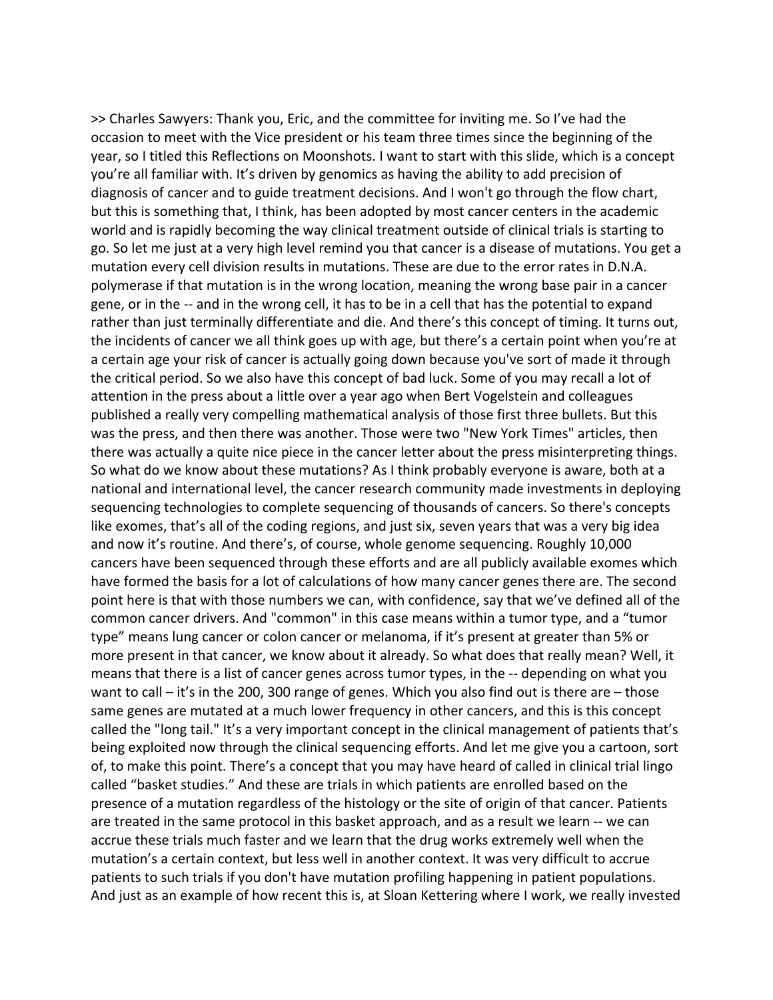>> Charles Sawyers: Thank you, Eric, and the committee for inviting me. So I've had the occasion to meet with the Vice president or his team three times since the beginning of the year, so I titled this Reflections on Moonshots. I want to start with this slide, which is a concept you're all familiar with. It's driven by genomics as having the ability to add precision of diagnosis of cancer and to guide treatment decisions. And I won't go through the flow chart, but this is something that, I think, has been adopted by most cancer centers in the academic world and is rapidly becoming the way clinical treatment outside of clinical trials is starting to go. So let me just at a very high level remind you that cancer is a disease of mutations. You get a mutation every cell division results in mutations. These are due to the error rates in D.N.A. polymerase if that mutation is in the wrong location, meaning the wrong base pair in a cancer gene, or in the -- and in the wrong cell, it has to be in a cell that has the potential to expand rather than just terminally differentiate and die. And there's this concept of timing. It turns out, the incidents of cancer we all think goes up with age, but there's a certain point when you're at a certain age your risk of cancer is actually going down because you've sort of made it through the critical period. So we also have this concept of bad luck. Some of you may recall a lot of attention in the press about a little over a year ago when Bert Vogelstein and colleagues published a really very compelling mathematical analysis of those first three bullets. But this was the press, and then there was another. Those were two "New York Times" articles, then there was actually a quite nice piece in the cancer letter about the press misinterpreting things. So what do we know about these mutations? As I think probably everyone is aware, both at a national and international level, the cancer research community made investments in deploying sequencing technologies to complete sequencing of thousands of cancers. So there's concepts like exomes, that's all of the coding regions, and just six, seven years that was a very big idea and now it's routine. And there's, of course, whole genome sequencing. Roughly 10,000 cancers have been sequenced through these efforts and are all publicly available exomes which have formed the basis for a lot of calculations of how many cancer genes there are. The second point here is that with those numbers we can, with confidence, say that we've defined all of the common cancer drivers. And "common" in this case means within a tumor type, and a "tumor type" means lung cancer or colon cancer or melanoma, if it's present at greater than 5% or more present in that cancer, we know about it already. So what does that really mean? Well, it means that there is a list of cancer genes across tumor types, in the ‐‐ depending on what you want to call – it's in the 200, 300 range of genes. Which you also find out is there are – those same genes are mutated at a much lower frequency in other cancers, and this is this concept called the "long tail." It's a very important concept in the clinical management of patients that's being exploited now through the clinical sequencing efforts. And let me give you a cartoon, sort of, to make this point. There's a concept that you may have heard of called in clinical trial lingo called "basket studies." And these are trials in which patients are enrolled based on the presence of a mutation regardless of the histology or the site of origin of that cancer. Patients are treated in the same protocol in this basket approach, and as a result we learn -- we can accrue these trials much faster and we learn that the drug works extremely well when the mutation's a certain context, but less well in another context. It was very difficult to accrue patients to such trials if you don't have mutation profiling happening in patient populations. And just as an example of how recent this is, at Sloan Kettering where I work, we really invested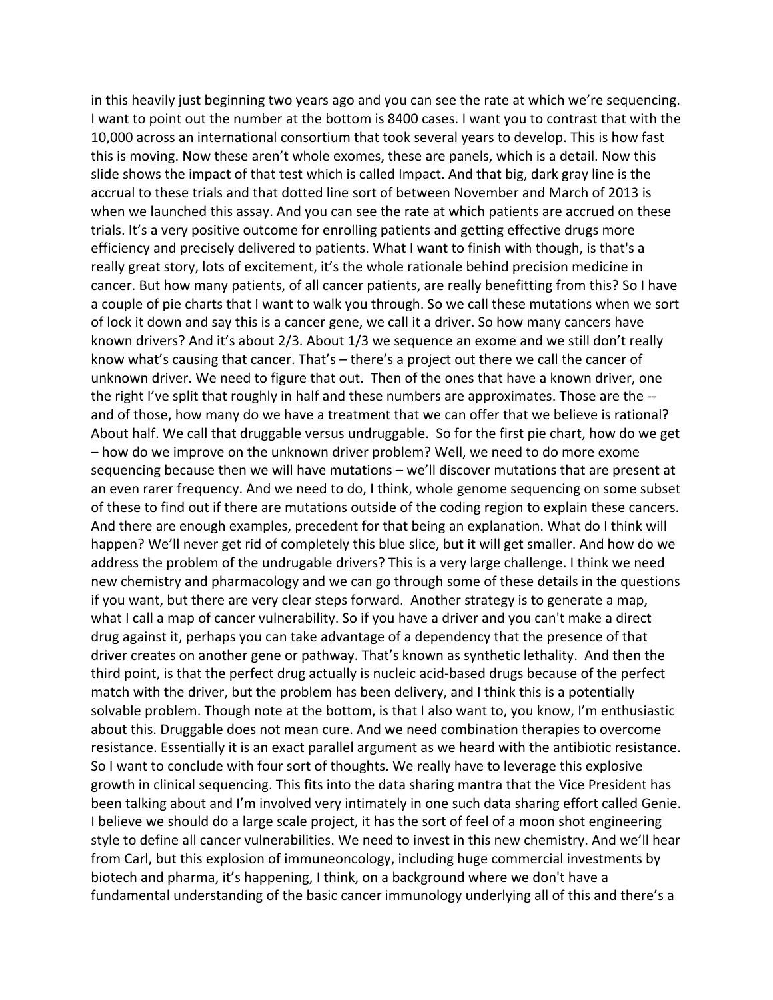in this heavily just beginning two years ago and you can see the rate at which we're sequencing. I want to point out the number at the bottom is 8400 cases. I want you to contrast that with the 10,000 across an international consortium that took several years to develop. This is how fast this is moving. Now these aren't whole exomes, these are panels, which is a detail. Now this slide shows the impact of that test which is called Impact. And that big, dark gray line is the accrual to these trials and that dotted line sort of between November and March of 2013 is when we launched this assay. And you can see the rate at which patients are accrued on these trials. It's a very positive outcome for enrolling patients and getting effective drugs more efficiency and precisely delivered to patients. What I want to finish with though, is that's a really great story, lots of excitement, it's the whole rationale behind precision medicine in cancer. But how many patients, of all cancer patients, are really benefitting from this? So I have a couple of pie charts that I want to walk you through. So we call these mutations when we sort of lock it down and say this is a cancer gene, we call it a driver. So how many cancers have known drivers? And it's about 2/3. About 1/3 we sequence an exome and we still don't really know what's causing that cancer. That's – there's a project out there we call the cancer of unknown driver. We need to figure that out. Then of the ones that have a known driver, one the right I've split that roughly in half and these numbers are approximates. Those are the ‐‐ and of those, how many do we have a treatment that we can offer that we believe is rational? About half. We call that druggable versus undruggable. So for the first pie chart, how do we get – how do we improve on the unknown driver problem? Well, we need to do more exome sequencing because then we will have mutations – we'll discover mutations that are present at an even rarer frequency. And we need to do, I think, whole genome sequencing on some subset of these to find out if there are mutations outside of the coding region to explain these cancers. And there are enough examples, precedent for that being an explanation. What do I think will happen? We'll never get rid of completely this blue slice, but it will get smaller. And how do we address the problem of the undrugable drivers? This is a very large challenge. I think we need new chemistry and pharmacology and we can go through some of these details in the questions if you want, but there are very clear steps forward. Another strategy is to generate a map, what I call a map of cancer vulnerability. So if you have a driver and you can't make a direct drug against it, perhaps you can take advantage of a dependency that the presence of that driver creates on another gene or pathway. That's known as synthetic lethality. And then the third point, is that the perfect drug actually is nucleic acid‐based drugs because of the perfect match with the driver, but the problem has been delivery, and I think this is a potentially solvable problem. Though note at the bottom, is that I also want to, you know, I'm enthusiastic about this. Druggable does not mean cure. And we need combination therapies to overcome resistance. Essentially it is an exact parallel argument as we heard with the antibiotic resistance. So I want to conclude with four sort of thoughts. We really have to leverage this explosive growth in clinical sequencing. This fits into the data sharing mantra that the Vice President has been talking about and I'm involved very intimately in one such data sharing effort called Genie. I believe we should do a large scale project, it has the sort of feel of a moon shot engineering style to define all cancer vulnerabilities. We need to invest in this new chemistry. And we'll hear from Carl, but this explosion of immuneoncology, including huge commercial investments by biotech and pharma, it's happening, I think, on a background where we don't have a fundamental understanding of the basic cancer immunology underlying all of this and there's a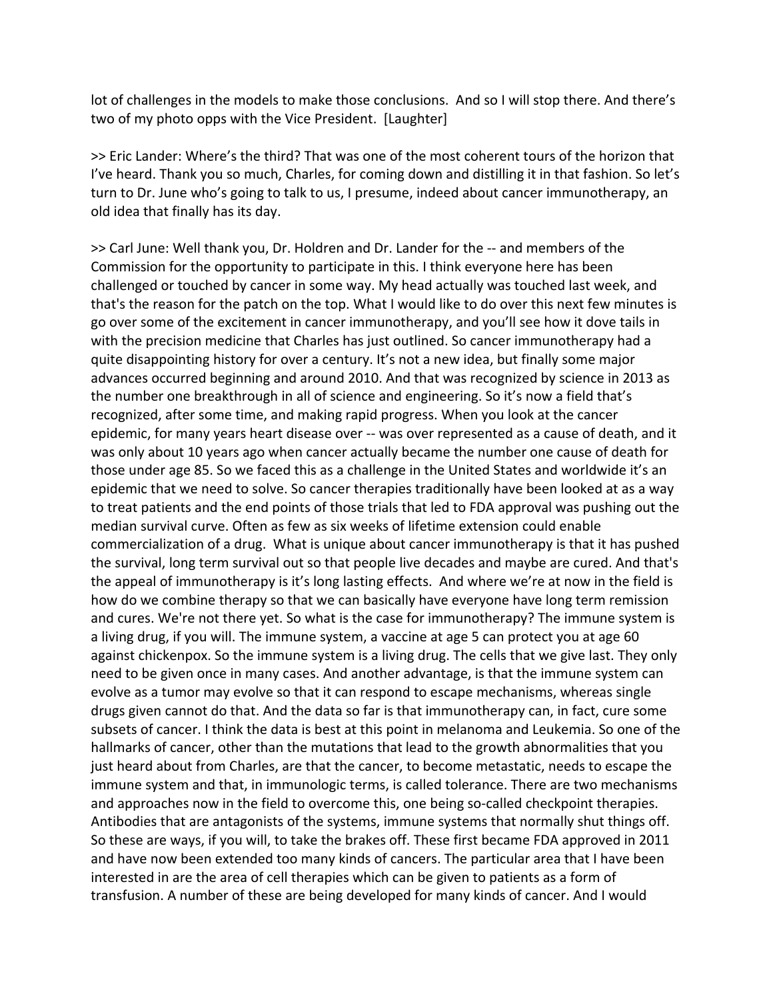lot of challenges in the models to make those conclusions. And so I will stop there. And there's two of my photo opps with the Vice President. [Laughter]

>> Eric Lander: Where's the third? That was one of the most coherent tours of the horizon that I've heard. Thank you so much, Charles, for coming down and distilling it in that fashion. So let's turn to Dr. June who's going to talk to us, I presume, indeed about cancer immunotherapy, an old idea that finally has its day.

>> Carl June: Well thank you, Dr. Holdren and Dr. Lander for the ‐‐ and members of the Commission for the opportunity to participate in this. I think everyone here has been challenged or touched by cancer in some way. My head actually was touched last week, and that's the reason for the patch on the top. What I would like to do over this next few minutes is go over some of the excitement in cancer immunotherapy, and you'll see how it dove tails in with the precision medicine that Charles has just outlined. So cancer immunotherapy had a quite disappointing history for over a century. It's not a new idea, but finally some major advances occurred beginning and around 2010. And that was recognized by science in 2013 as the number one breakthrough in all of science and engineering. So it's now a field that's recognized, after some time, and making rapid progress. When you look at the cancer epidemic, for many years heart disease over ‐‐ was over represented as a cause of death, and it was only about 10 years ago when cancer actually became the number one cause of death for those under age 85. So we faced this as a challenge in the United States and worldwide it's an epidemic that we need to solve. So cancer therapies traditionally have been looked at as a way to treat patients and the end points of those trials that led to FDA approval was pushing out the median survival curve. Often as few as six weeks of lifetime extension could enable commercialization of a drug. What is unique about cancer immunotherapy is that it has pushed the survival, long term survival out so that people live decades and maybe are cured. And that's the appeal of immunotherapy is it's long lasting effects. And where we're at now in the field is how do we combine therapy so that we can basically have everyone have long term remission and cures. We're not there yet. So what is the case for immunotherapy? The immune system is a living drug, if you will. The immune system, a vaccine at age 5 can protect you at age 60 against chickenpox. So the immune system is a living drug. The cells that we give last. They only need to be given once in many cases. And another advantage, is that the immune system can evolve as a tumor may evolve so that it can respond to escape mechanisms, whereas single drugs given cannot do that. And the data so far is that immunotherapy can, in fact, cure some subsets of cancer. I think the data is best at this point in melanoma and Leukemia. So one of the hallmarks of cancer, other than the mutations that lead to the growth abnormalities that you just heard about from Charles, are that the cancer, to become metastatic, needs to escape the immune system and that, in immunologic terms, is called tolerance. There are two mechanisms and approaches now in the field to overcome this, one being so-called checkpoint therapies. Antibodies that are antagonists of the systems, immune systems that normally shut things off. So these are ways, if you will, to take the brakes off. These first became FDA approved in 2011 and have now been extended too many kinds of cancers. The particular area that I have been interested in are the area of cell therapies which can be given to patients as a form of transfusion. A number of these are being developed for many kinds of cancer. And I would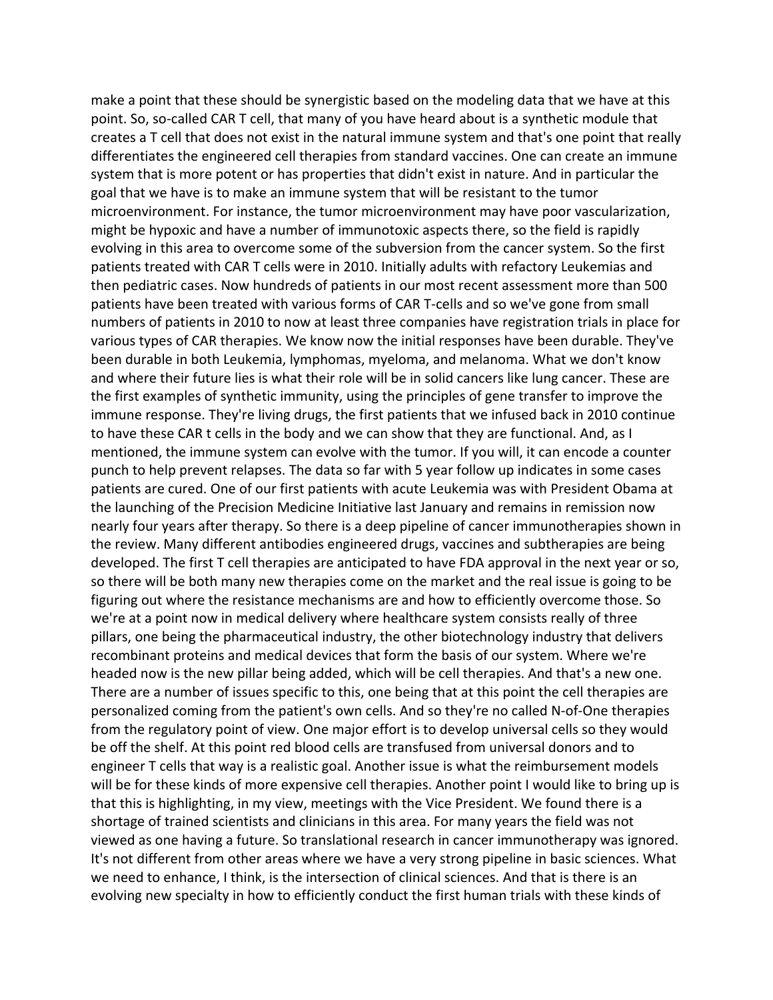make a point that these should be synergistic based on the modeling data that we have at this point. So, so-called CAR T cell, that many of you have heard about is a synthetic module that creates a T cell that does not exist in the natural immune system and that's one point that really differentiates the engineered cell therapies from standard vaccines. One can create an immune system that is more potent or has properties that didn't exist in nature. And in particular the goal that we have is to make an immune system that will be resistant to the tumor microenvironment. For instance, the tumor microenvironment may have poor vascularization, might be hypoxic and have a number of immunotoxic aspects there, so the field is rapidly evolving in this area to overcome some of the subversion from the cancer system. So the first patients treated with CAR T cells were in 2010. Initially adults with refactory Leukemias and then pediatric cases. Now hundreds of patients in our most recent assessment more than 500 patients have been treated with various forms of CAR T‐cells and so we've gone from small numbers of patients in 2010 to now at least three companies have registration trials in place for various types of CAR therapies. We know now the initial responses have been durable. They've been durable in both Leukemia, lymphomas, myeloma, and melanoma. What we don't know and where their future lies is what their role will be in solid cancers like lung cancer. These are the first examples of synthetic immunity, using the principles of gene transfer to improve the immune response. They're living drugs, the first patients that we infused back in 2010 continue to have these CAR t cells in the body and we can show that they are functional. And, as I mentioned, the immune system can evolve with the tumor. If you will, it can encode a counter punch to help prevent relapses. The data so far with 5 year follow up indicates in some cases patients are cured. One of our first patients with acute Leukemia was with President Obama at the launching of the Precision Medicine Initiative last January and remains in remission now nearly four years after therapy. So there is a deep pipeline of cancer immunotherapies shown in the review. Many different antibodies engineered drugs, vaccines and subtherapies are being developed. The first T cell therapies are anticipated to have FDA approval in the next year or so, so there will be both many new therapies come on the market and the real issue is going to be figuring out where the resistance mechanisms are and how to efficiently overcome those. So we're at a point now in medical delivery where healthcare system consists really of three pillars, one being the pharmaceutical industry, the other biotechnology industry that delivers recombinant proteins and medical devices that form the basis of our system. Where we're headed now is the new pillar being added, which will be cell therapies. And that's a new one. There are a number of issues specific to this, one being that at this point the cell therapies are personalized coming from the patient's own cells. And so they're no called N‐of‐One therapies from the regulatory point of view. One major effort is to develop universal cells so they would be off the shelf. At this point red blood cells are transfused from universal donors and to engineer T cells that way is a realistic goal. Another issue is what the reimbursement models will be for these kinds of more expensive cell therapies. Another point I would like to bring up is that this is highlighting, in my view, meetings with the Vice President. We found there is a shortage of trained scientists and clinicians in this area. For many years the field was not viewed as one having a future. So translational research in cancer immunotherapy was ignored. It's not different from other areas where we have a very strong pipeline in basic sciences. What we need to enhance, I think, is the intersection of clinical sciences. And that is there is an evolving new specialty in how to efficiently conduct the first human trials with these kinds of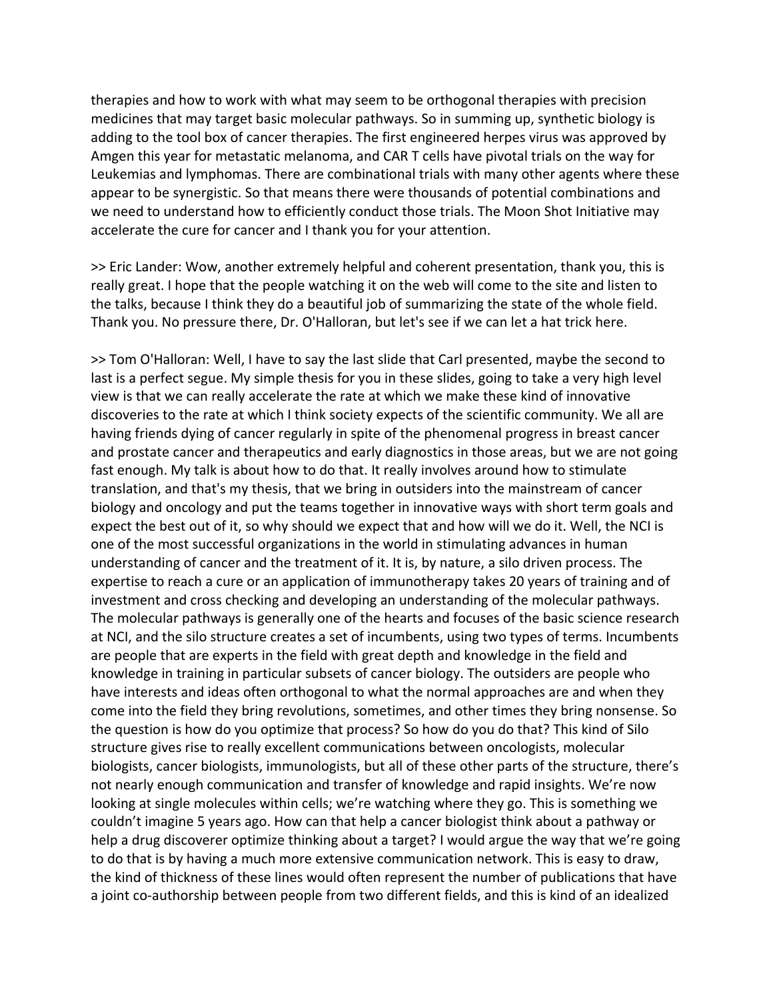therapies and how to work with what may seem to be orthogonal therapies with precision medicines that may target basic molecular pathways. So in summing up, synthetic biology is adding to the tool box of cancer therapies. The first engineered herpes virus was approved by Amgen this year for metastatic melanoma, and CAR T cells have pivotal trials on the way for Leukemias and lymphomas. There are combinational trials with many other agents where these appear to be synergistic. So that means there were thousands of potential combinations and we need to understand how to efficiently conduct those trials. The Moon Shot Initiative may accelerate the cure for cancer and I thank you for your attention.

>> Eric Lander: Wow, another extremely helpful and coherent presentation, thank you, this is really great. I hope that the people watching it on the web will come to the site and listen to the talks, because I think they do a beautiful job of summarizing the state of the whole field. Thank you. No pressure there, Dr. O'Halloran, but let's see if we can let a hat trick here.

>> Tom O'Halloran: Well, I have to say the last slide that Carl presented, maybe the second to last is a perfect segue. My simple thesis for you in these slides, going to take a very high level view is that we can really accelerate the rate at which we make these kind of innovative discoveries to the rate at which I think society expects of the scientific community. We all are having friends dying of cancer regularly in spite of the phenomenal progress in breast cancer and prostate cancer and therapeutics and early diagnostics in those areas, but we are not going fast enough. My talk is about how to do that. It really involves around how to stimulate translation, and that's my thesis, that we bring in outsiders into the mainstream of cancer biology and oncology and put the teams together in innovative ways with short term goals and expect the best out of it, so why should we expect that and how will we do it. Well, the NCI is one of the most successful organizations in the world in stimulating advances in human understanding of cancer and the treatment of it. It is, by nature, a silo driven process. The expertise to reach a cure or an application of immunotherapy takes 20 years of training and of investment and cross checking and developing an understanding of the molecular pathways. The molecular pathways is generally one of the hearts and focuses of the basic science research at NCI, and the silo structure creates a set of incumbents, using two types of terms. Incumbents are people that are experts in the field with great depth and knowledge in the field and knowledge in training in particular subsets of cancer biology. The outsiders are people who have interests and ideas often orthogonal to what the normal approaches are and when they come into the field they bring revolutions, sometimes, and other times they bring nonsense. So the question is how do you optimize that process? So how do you do that? This kind of Silo structure gives rise to really excellent communications between oncologists, molecular biologists, cancer biologists, immunologists, but all of these other parts of the structure, there's not nearly enough communication and transfer of knowledge and rapid insights. We're now looking at single molecules within cells; we're watching where they go. This is something we couldn't imagine 5 years ago. How can that help a cancer biologist think about a pathway or help a drug discoverer optimize thinking about a target? I would argue the way that we're going to do that is by having a much more extensive communication network. This is easy to draw, the kind of thickness of these lines would often represent the number of publications that have a joint co-authorship between people from two different fields, and this is kind of an idealized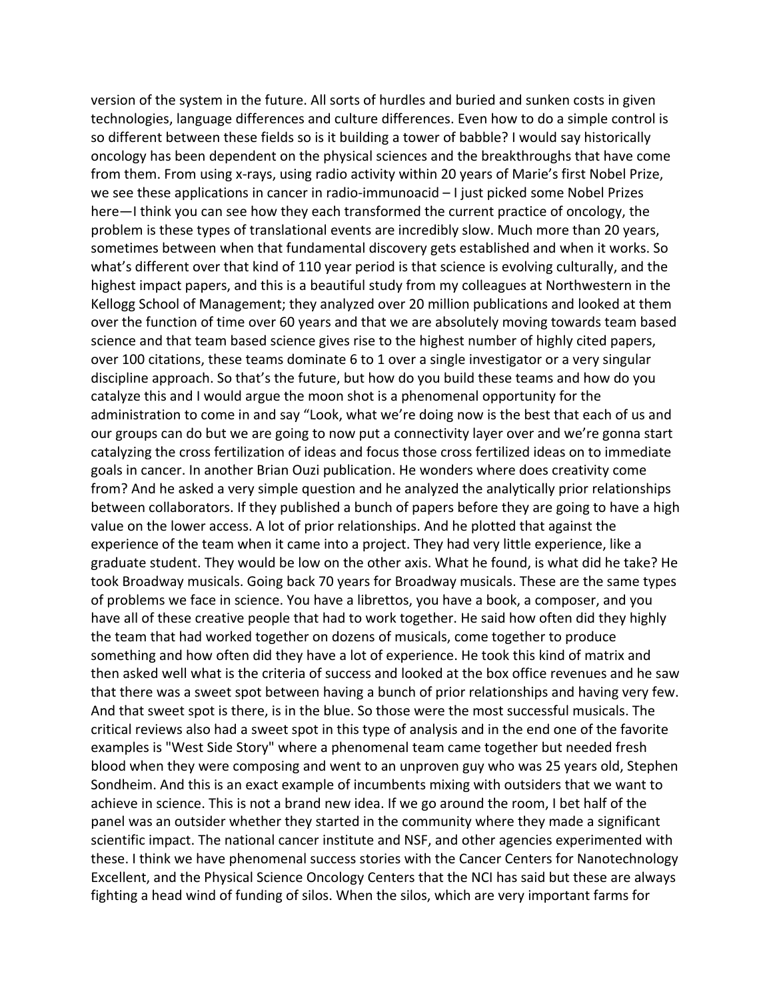version of the system in the future. All sorts of hurdles and buried and sunken costs in given technologies, language differences and culture differences. Even how to do a simple control is so different between these fields so is it building a tower of babble? I would say historically oncology has been dependent on the physical sciences and the breakthroughs that have come from them. From using x‐rays, using radio activity within 20 years of Marie's first Nobel Prize, we see these applications in cancer in radio-immunoacid – I just picked some Nobel Prizes here—I think you can see how they each transformed the current practice of oncology, the problem is these types of translational events are incredibly slow. Much more than 20 years, sometimes between when that fundamental discovery gets established and when it works. So what's different over that kind of 110 year period is that science is evolving culturally, and the highest impact papers, and this is a beautiful study from my colleagues at Northwestern in the Kellogg School of Management; they analyzed over 20 million publications and looked at them over the function of time over 60 years and that we are absolutely moving towards team based science and that team based science gives rise to the highest number of highly cited papers, over 100 citations, these teams dominate 6 to 1 over a single investigator or a very singular discipline approach. So that's the future, but how do you build these teams and how do you catalyze this and I would argue the moon shot is a phenomenal opportunity for the administration to come in and say "Look, what we're doing now is the best that each of us and our groups can do but we are going to now put a connectivity layer over and we're gonna start catalyzing the cross fertilization of ideas and focus those cross fertilized ideas on to immediate goals in cancer. In another Brian Ouzi publication. He wonders where does creativity come from? And he asked a very simple question and he analyzed the analytically prior relationships between collaborators. If they published a bunch of papers before they are going to have a high value on the lower access. A lot of prior relationships. And he plotted that against the experience of the team when it came into a project. They had very little experience, like a graduate student. They would be low on the other axis. What he found, is what did he take? He took Broadway musicals. Going back 70 years for Broadway musicals. These are the same types of problems we face in science. You have a librettos, you have a book, a composer, and you have all of these creative people that had to work together. He said how often did they highly the team that had worked together on dozens of musicals, come together to produce something and how often did they have a lot of experience. He took this kind of matrix and then asked well what is the criteria of success and looked at the box office revenues and he saw that there was a sweet spot between having a bunch of prior relationships and having very few. And that sweet spot is there, is in the blue. So those were the most successful musicals. The critical reviews also had a sweet spot in this type of analysis and in the end one of the favorite examples is "West Side Story" where a phenomenal team came together but needed fresh blood when they were composing and went to an unproven guy who was 25 years old, Stephen Sondheim. And this is an exact example of incumbents mixing with outsiders that we want to achieve in science. This is not a brand new idea. If we go around the room, I bet half of the panel was an outsider whether they started in the community where they made a significant scientific impact. The national cancer institute and NSF, and other agencies experimented with these. I think we have phenomenal success stories with the Cancer Centers for Nanotechnology Excellent, and the Physical Science Oncology Centers that the NCI has said but these are always fighting a head wind of funding of silos. When the silos, which are very important farms for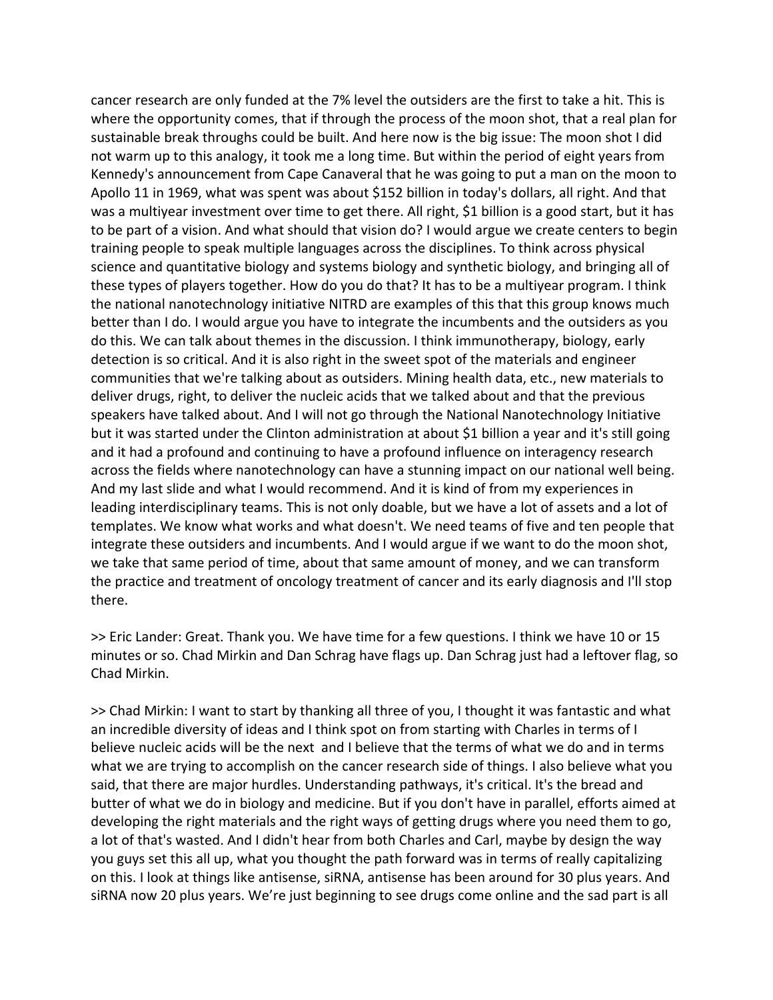cancer research are only funded at the 7% level the outsiders are the first to take a hit. This is where the opportunity comes, that if through the process of the moon shot, that a real plan for sustainable break throughs could be built. And here now is the big issue: The moon shot I did not warm up to this analogy, it took me a long time. But within the period of eight years from Kennedy's announcement from Cape Canaveral that he was going to put a man on the moon to Apollo 11 in 1969, what was spent was about \$152 billion in today's dollars, all right. And that was a multiyear investment over time to get there. All right, \$1 billion is a good start, but it has to be part of a vision. And what should that vision do? I would argue we create centers to begin training people to speak multiple languages across the disciplines. To think across physical science and quantitative biology and systems biology and synthetic biology, and bringing all of these types of players together. How do you do that? It has to be a multiyear program. I think the national nanotechnology initiative NITRD are examples of this that this group knows much better than I do. I would argue you have to integrate the incumbents and the outsiders as you do this. We can talk about themes in the discussion. I think immunotherapy, biology, early detection is so critical. And it is also right in the sweet spot of the materials and engineer communities that we're talking about as outsiders. Mining health data, etc., new materials to deliver drugs, right, to deliver the nucleic acids that we talked about and that the previous speakers have talked about. And I will not go through the National Nanotechnology Initiative but it was started under the Clinton administration at about \$1 billion a year and it's still going and it had a profound and continuing to have a profound influence on interagency research across the fields where nanotechnology can have a stunning impact on our national well being. And my last slide and what I would recommend. And it is kind of from my experiences in leading interdisciplinary teams. This is not only doable, but we have a lot of assets and a lot of templates. We know what works and what doesn't. We need teams of five and ten people that integrate these outsiders and incumbents. And I would argue if we want to do the moon shot, we take that same period of time, about that same amount of money, and we can transform the practice and treatment of oncology treatment of cancer and its early diagnosis and I'll stop there.

>> Eric Lander: Great. Thank you. We have time for a few questions. I think we have 10 or 15 minutes or so. Chad Mirkin and Dan Schrag have flags up. Dan Schrag just had a leftover flag, so Chad Mirkin.

>> Chad Mirkin: I want to start by thanking all three of you, I thought it was fantastic and what an incredible diversity of ideas and I think spot on from starting with Charles in terms of I believe nucleic acids will be the next and I believe that the terms of what we do and in terms what we are trying to accomplish on the cancer research side of things. I also believe what you said, that there are major hurdles. Understanding pathways, it's critical. It's the bread and butter of what we do in biology and medicine. But if you don't have in parallel, efforts aimed at developing the right materials and the right ways of getting drugs where you need them to go, a lot of that's wasted. And I didn't hear from both Charles and Carl, maybe by design the way you guys set this all up, what you thought the path forward was in terms of really capitalizing on this. I look at things like antisense, siRNA, antisense has been around for 30 plus years. And siRNA now 20 plus years. We're just beginning to see drugs come online and the sad part is all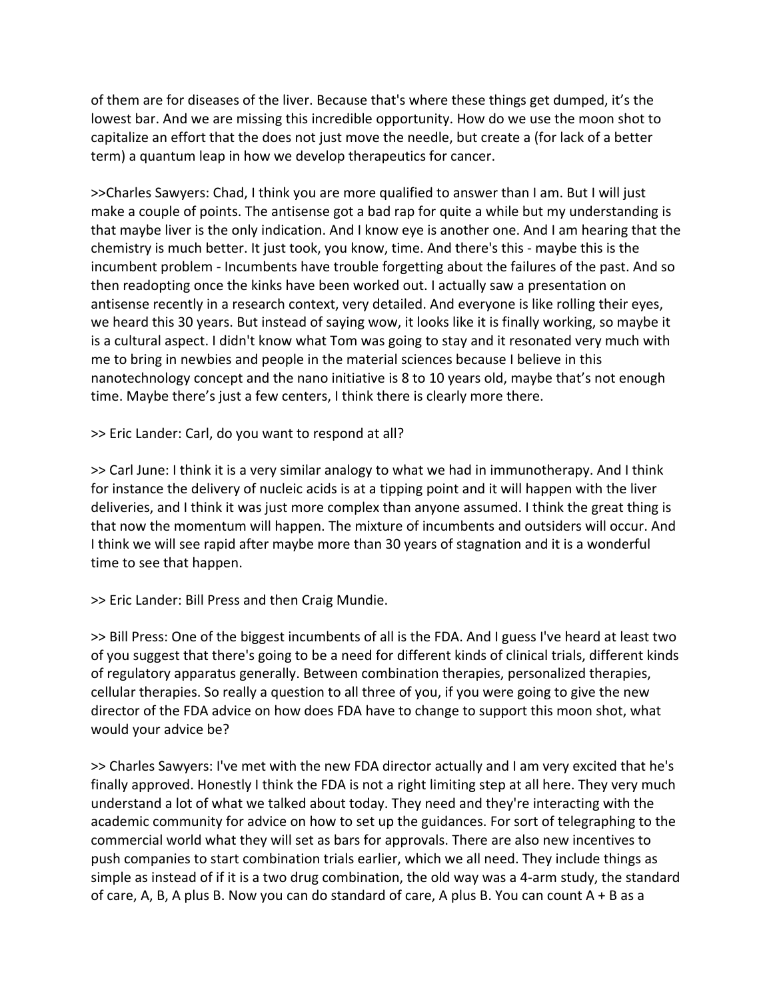of them are for diseases of the liver. Because that's where these things get dumped, it's the lowest bar. And we are missing this incredible opportunity. How do we use the moon shot to capitalize an effort that the does not just move the needle, but create a (for lack of a better term) a quantum leap in how we develop therapeutics for cancer.

>>Charles Sawyers: Chad, I think you are more qualified to answer than I am. But I will just make a couple of points. The antisense got a bad rap for quite a while but my understanding is that maybe liver is the only indication. And I know eye is another one. And I am hearing that the chemistry is much better. It just took, you know, time. And there's this ‐ maybe this is the incumbent problem ‐ Incumbents have trouble forgetting about the failures of the past. And so then readopting once the kinks have been worked out. I actually saw a presentation on antisense recently in a research context, very detailed. And everyone is like rolling their eyes, we heard this 30 years. But instead of saying wow, it looks like it is finally working, so maybe it is a cultural aspect. I didn't know what Tom was going to stay and it resonated very much with me to bring in newbies and people in the material sciences because I believe in this nanotechnology concept and the nano initiative is 8 to 10 years old, maybe that's not enough time. Maybe there's just a few centers, I think there is clearly more there.

>> Eric Lander: Carl, do you want to respond at all?

>> Carl June: I think it is a very similar analogy to what we had in immunotherapy. And I think for instance the delivery of nucleic acids is at a tipping point and it will happen with the liver deliveries, and I think it was just more complex than anyone assumed. I think the great thing is that now the momentum will happen. The mixture of incumbents and outsiders will occur. And I think we will see rapid after maybe more than 30 years of stagnation and it is a wonderful time to see that happen.

>> Eric Lander: Bill Press and then Craig Mundie.

>> Bill Press: One of the biggest incumbents of all is the FDA. And I guess I've heard at least two of you suggest that there's going to be a need for different kinds of clinical trials, different kinds of regulatory apparatus generally. Between combination therapies, personalized therapies, cellular therapies. So really a question to all three of you, if you were going to give the new director of the FDA advice on how does FDA have to change to support this moon shot, what would your advice be?

>> Charles Sawyers: I've met with the new FDA director actually and I am very excited that he's finally approved. Honestly I think the FDA is not a right limiting step at all here. They very much understand a lot of what we talked about today. They need and they're interacting with the academic community for advice on how to set up the guidances. For sort of telegraphing to the commercial world what they will set as bars for approvals. There are also new incentives to push companies to start combination trials earlier, which we all need. They include things as simple as instead of if it is a two drug combination, the old way was a 4‐arm study, the standard of care, A, B, A plus B. Now you can do standard of care, A plus B. You can count A + B as a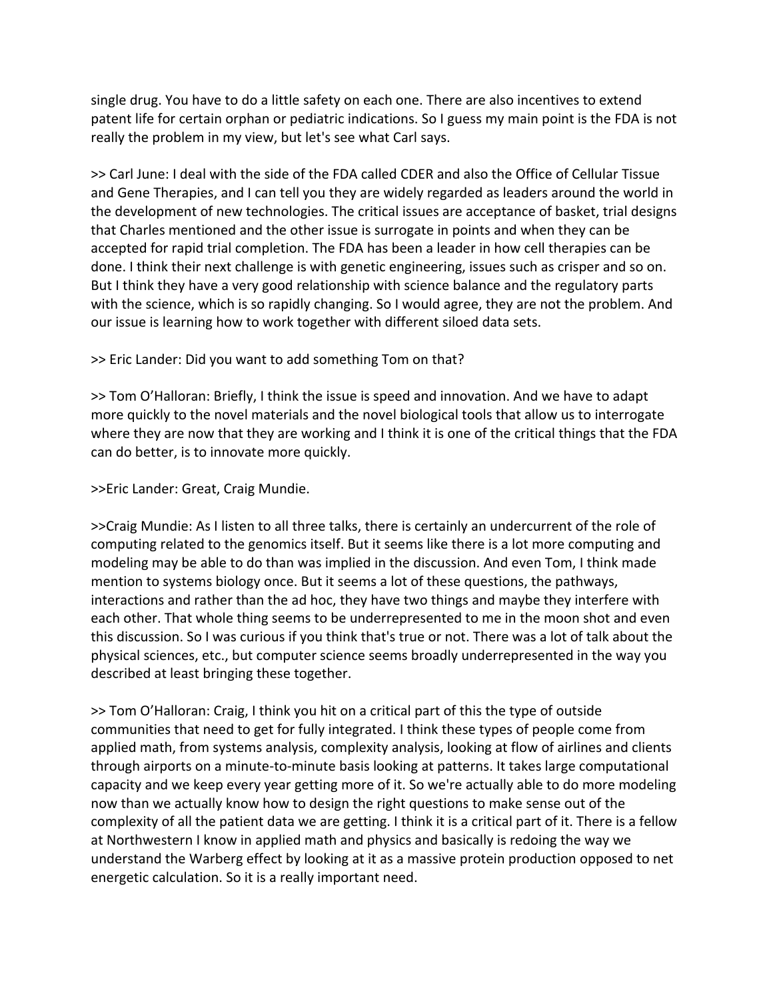single drug. You have to do a little safety on each one. There are also incentives to extend patent life for certain orphan or pediatric indications. So I guess my main point is the FDA is not really the problem in my view, but let's see what Carl says.

>> Carl June: I deal with the side of the FDA called CDER and also the Office of Cellular Tissue and Gene Therapies, and I can tell you they are widely regarded as leaders around the world in the development of new technologies. The critical issues are acceptance of basket, trial designs that Charles mentioned and the other issue is surrogate in points and when they can be accepted for rapid trial completion. The FDA has been a leader in how cell therapies can be done. I think their next challenge is with genetic engineering, issues such as crisper and so on. But I think they have a very good relationship with science balance and the regulatory parts with the science, which is so rapidly changing. So I would agree, they are not the problem. And our issue is learning how to work together with different siloed data sets.

### >> Eric Lander: Did you want to add something Tom on that?

>> Tom O'Halloran: Briefly, I think the issue is speed and innovation. And we have to adapt more quickly to the novel materials and the novel biological tools that allow us to interrogate where they are now that they are working and I think it is one of the critical things that the FDA can do better, is to innovate more quickly.

## >>Eric Lander: Great, Craig Mundie.

>>Craig Mundie: As I listen to all three talks, there is certainly an undercurrent of the role of computing related to the genomics itself. But it seems like there is a lot more computing and modeling may be able to do than was implied in the discussion. And even Tom, I think made mention to systems biology once. But it seems a lot of these questions, the pathways, interactions and rather than the ad hoc, they have two things and maybe they interfere with each other. That whole thing seems to be underrepresented to me in the moon shot and even this discussion. So I was curious if you think that's true or not. There was a lot of talk about the physical sciences, etc., but computer science seems broadly underrepresented in the way you described at least bringing these together.

>> Tom O'Halloran: Craig, I think you hit on a critical part of this the type of outside communities that need to get for fully integrated. I think these types of people come from applied math, from systems analysis, complexity analysis, looking at flow of airlines and clients through airports on a minute‐to‐minute basis looking at patterns. It takes large computational capacity and we keep every year getting more of it. So we're actually able to do more modeling now than we actually know how to design the right questions to make sense out of the complexity of all the patient data we are getting. I think it is a critical part of it. There is a fellow at Northwestern I know in applied math and physics and basically is redoing the way we understand the Warberg effect by looking at it as a massive protein production opposed to net energetic calculation. So it is a really important need.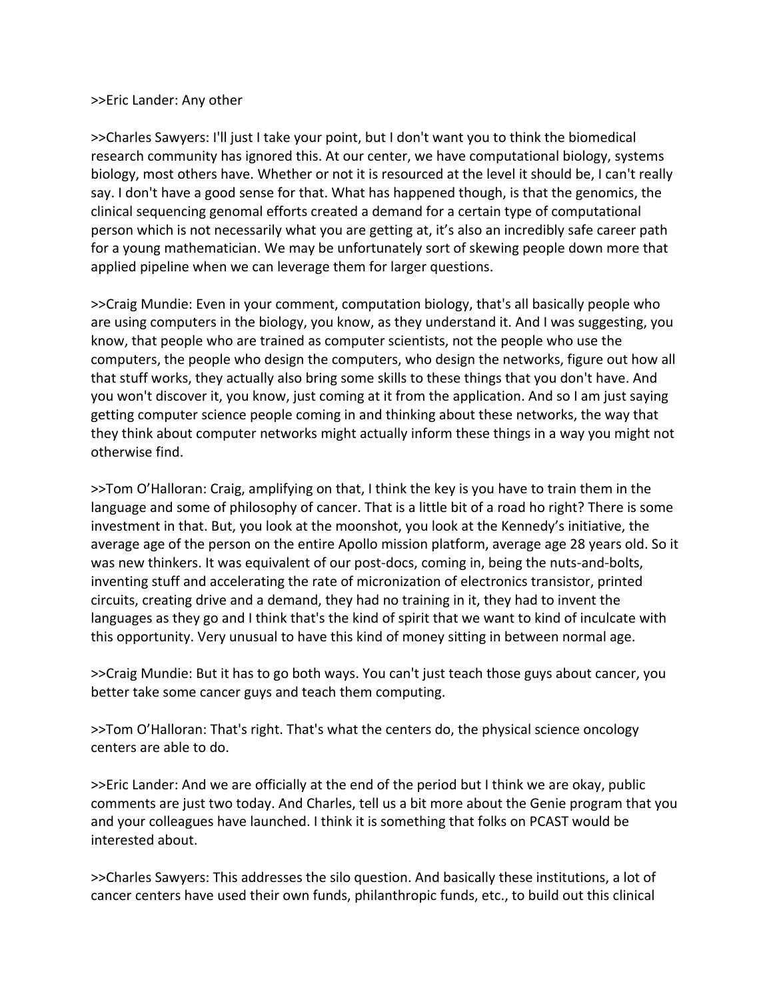### >>Eric Lander: Any other

>>Charles Sawyers: I'll just I take your point, but I don't want you to think the biomedical research community has ignored this. At our center, we have computational biology, systems biology, most others have. Whether or not it is resourced at the level it should be, I can't really say. I don't have a good sense for that. What has happened though, is that the genomics, the clinical sequencing genomal efforts created a demand for a certain type of computational person which is not necessarily what you are getting at, it's also an incredibly safe career path for a young mathematician. We may be unfortunately sort of skewing people down more that applied pipeline when we can leverage them for larger questions.

>>Craig Mundie: Even in your comment, computation biology, that's all basically people who are using computers in the biology, you know, as they understand it. And I was suggesting, you know, that people who are trained as computer scientists, not the people who use the computers, the people who design the computers, who design the networks, figure out how all that stuff works, they actually also bring some skills to these things that you don't have. And you won't discover it, you know, just coming at it from the application. And so I am just saying getting computer science people coming in and thinking about these networks, the way that they think about computer networks might actually inform these things in a way you might not otherwise find.

>>Tom O'Halloran: Craig, amplifying on that, I think the key is you have to train them in the language and some of philosophy of cancer. That is a little bit of a road ho right? There is some investment in that. But, you look at the moonshot, you look at the Kennedy's initiative, the average age of the person on the entire Apollo mission platform, average age 28 years old. So it was new thinkers. It was equivalent of our post-docs, coming in, being the nuts-and-bolts, inventing stuff and accelerating the rate of micronization of electronics transistor, printed circuits, creating drive and a demand, they had no training in it, they had to invent the languages as they go and I think that's the kind of spirit that we want to kind of inculcate with this opportunity. Very unusual to have this kind of money sitting in between normal age.

>>Craig Mundie: But it has to go both ways. You can't just teach those guys about cancer, you better take some cancer guys and teach them computing.

>>Tom O'Halloran: That's right. That's what the centers do, the physical science oncology centers are able to do.

>>Eric Lander: And we are officially at the end of the period but I think we are okay, public comments are just two today. And Charles, tell us a bit more about the Genie program that you and your colleagues have launched. I think it is something that folks on PCAST would be interested about.

>>Charles Sawyers: This addresses the silo question. And basically these institutions, a lot of cancer centers have used their own funds, philanthropic funds, etc., to build out this clinical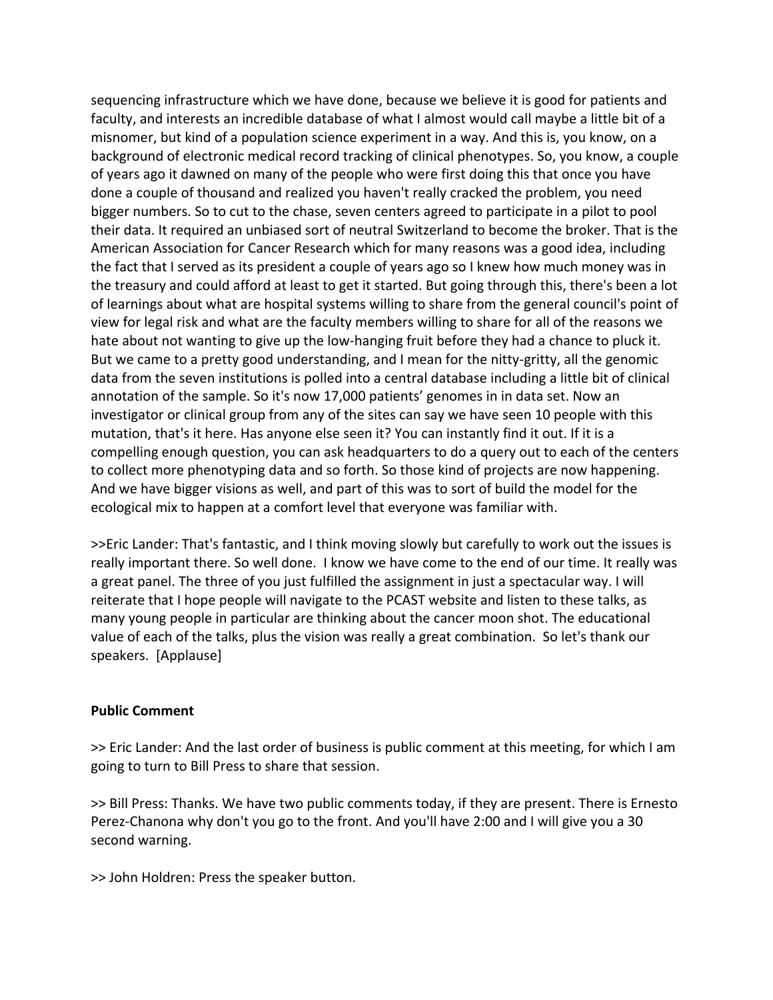sequencing infrastructure which we have done, because we believe it is good for patients and faculty, and interests an incredible database of what I almost would call maybe a little bit of a misnomer, but kind of a population science experiment in a way. And this is, you know, on a background of electronic medical record tracking of clinical phenotypes. So, you know, a couple of years ago it dawned on many of the people who were first doing this that once you have done a couple of thousand and realized you haven't really cracked the problem, you need bigger numbers. So to cut to the chase, seven centers agreed to participate in a pilot to pool their data. It required an unbiased sort of neutral Switzerland to become the broker. That is the American Association for Cancer Research which for many reasons was a good idea, including the fact that I served as its president a couple of years ago so I knew how much money was in the treasury and could afford at least to get it started. But going through this, there's been a lot of learnings about what are hospital systems willing to share from the general council's point of view for legal risk and what are the faculty members willing to share for all of the reasons we hate about not wanting to give up the low-hanging fruit before they had a chance to pluck it. But we came to a pretty good understanding, and I mean for the nitty-gritty, all the genomic data from the seven institutions is polled into a central database including a little bit of clinical annotation of the sample. So it's now 17,000 patients' genomes in in data set. Now an investigator or clinical group from any of the sites can say we have seen 10 people with this mutation, that's it here. Has anyone else seen it? You can instantly find it out. If it is a compelling enough question, you can ask headquarters to do a query out to each of the centers to collect more phenotyping data and so forth. So those kind of projects are now happening. And we have bigger visions as well, and part of this was to sort of build the model for the ecological mix to happen at a comfort level that everyone was familiar with.

>>Eric Lander: That's fantastic, and I think moving slowly but carefully to work out the issues is really important there. So well done. I know we have come to the end of our time. It really was a great panel. The three of you just fulfilled the assignment in just a spectacular way. I will reiterate that I hope people will navigate to the PCAST website and listen to these talks, as many young people in particular are thinking about the cancer moon shot. The educational value of each of the talks, plus the vision was really a great combination. So let's thank our speakers. [Applause]

### **Public Comment**

>> Eric Lander: And the last order of business is public comment at this meeting, for which I am going to turn to Bill Press to share that session.

>> Bill Press: Thanks. We have two public comments today, if they are present. There is Ernesto Perez‐Chanona why don't you go to the front. And you'll have 2:00 and I will give you a 30 second warning.

>> John Holdren: Press the speaker button.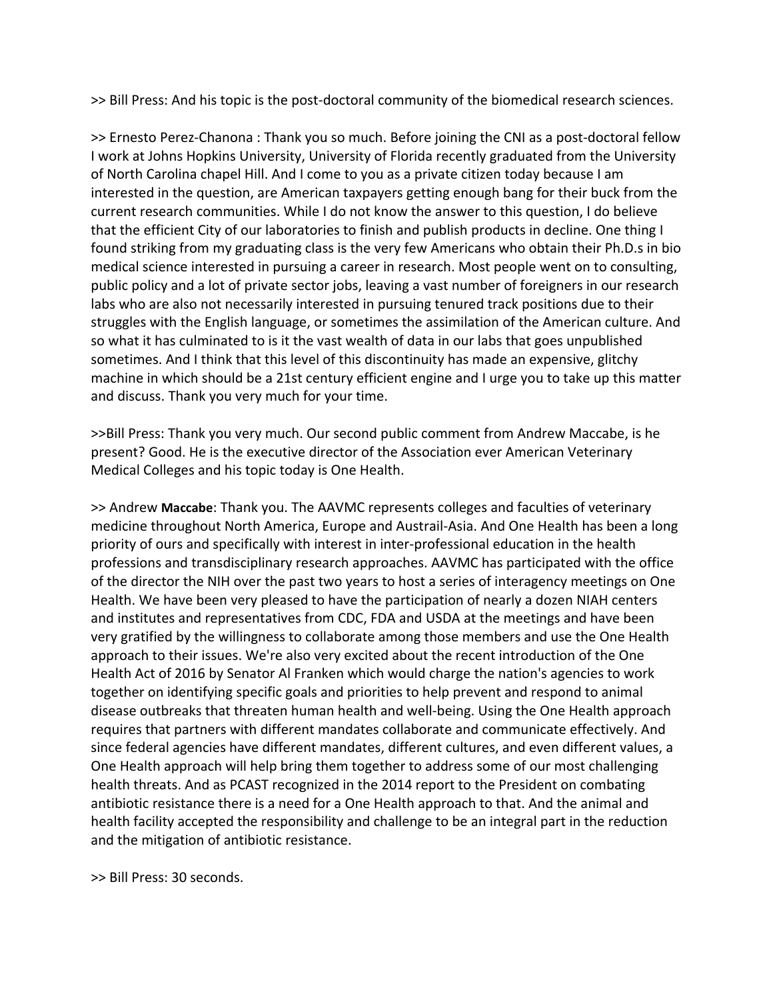>> Bill Press: And his topic is the post‐doctoral community of the biomedical research sciences.

>> Ernesto Perez-Chanona : Thank you so much. Before joining the CNI as a post-doctoral fellow I work at Johns Hopkins University, University of Florida recently graduated from the University of North Carolina chapel Hill. And I come to you as a private citizen today because I am interested in the question, are American taxpayers getting enough bang for their buck from the current research communities. While I do not know the answer to this question, I do believe that the efficient City of our laboratories to finish and publish products in decline. One thing I found striking from my graduating class is the very few Americans who obtain their Ph.D.s in bio medical science interested in pursuing a career in research. Most people went on to consulting, public policy and a lot of private sector jobs, leaving a vast number of foreigners in our research labs who are also not necessarily interested in pursuing tenured track positions due to their struggles with the English language, or sometimes the assimilation of the American culture. And so what it has culminated to is it the vast wealth of data in our labs that goes unpublished sometimes. And I think that this level of this discontinuity has made an expensive, glitchy machine in which should be a 21st century efficient engine and I urge you to take up this matter and discuss. Thank you very much for your time.

>>Bill Press: Thank you very much. Our second public comment from Andrew Maccabe, is he present? Good. He is the executive director of the Association ever American Veterinary Medical Colleges and his topic today is One Health.

>> Andrew **Maccabe**: Thank you. The AAVMC represents colleges and faculties of veterinary medicine throughout North America, Europe and Austrail‐Asia. And One Health has been a long priority of ours and specifically with interest in inter‐professional education in the health professions and transdisciplinary research approaches. AAVMC has participated with the office of the director the NIH over the past two years to host a series of interagency meetings on One Health. We have been very pleased to have the participation of nearly a dozen NIAH centers and institutes and representatives from CDC, FDA and USDA at the meetings and have been very gratified by the willingness to collaborate among those members and use the One Health approach to their issues. We're also very excited about the recent introduction of the One Health Act of 2016 by Senator Al Franken which would charge the nation's agencies to work together on identifying specific goals and priorities to help prevent and respond to animal disease outbreaks that threaten human health and well‐being. Using the One Health approach requires that partners with different mandates collaborate and communicate effectively. And since federal agencies have different mandates, different cultures, and even different values, a One Health approach will help bring them together to address some of our most challenging health threats. And as PCAST recognized in the 2014 report to the President on combating antibiotic resistance there is a need for a One Health approach to that. And the animal and health facility accepted the responsibility and challenge to be an integral part in the reduction and the mitigation of antibiotic resistance.

>> Bill Press: 30 seconds.